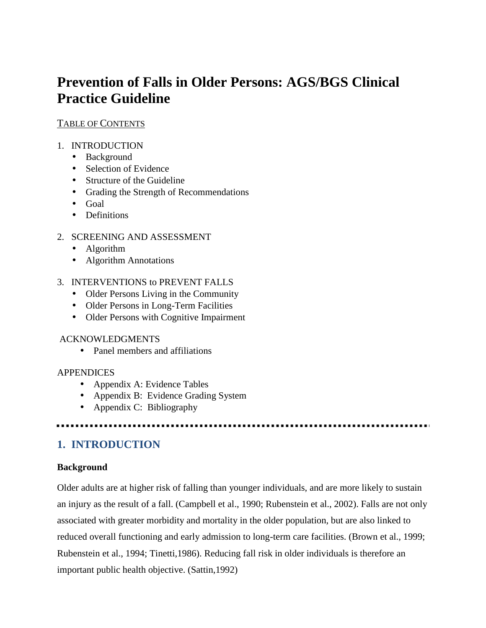# **Prevention of Falls in Older Persons: AGS/BGS Clinical Practice Guideline**

### TABLE OF CONTENTS

### 1. INTRODUCTION

- Background
- Selection of Evidence
- Structure of the Guideline
- Grading the Strength of Recommendations
- Goal
- Definitions

### 2. SCREENING AND ASSESSMENT

- Algorithm
- Algorithm Annotations

### 3. INTERVENTIONS to PREVENT FALLS

- Older Persons Living in the Community
- Older Persons in Long-Term Facilities
- Older Persons with Cognitive Impairment

### ACKNOWLEDGMENTS

• Panel members and affiliations

### **APPENDICES**

- Appendix A: Evidence Tables
- Appendix B: Evidence Grading System
- Appendix C: Bibliography

### **1. INTRODUCTION**

### **Background**

Older adults are at higher risk of falling than younger individuals, and are more likely to sustain an injury as the result of a fall. (Campbell et al., 1990; Rubenstein et al., 2002). Falls are not only associated with greater morbidity and mortality in the older population, but are also linked to reduced overall functioning and early admission to long-term care facilities. (Brown et al., 1999; Rubenstein et al., 1994; Tinetti,1986). Reducing fall risk in older individuals is therefore an important public health objective. (Sattin,1992)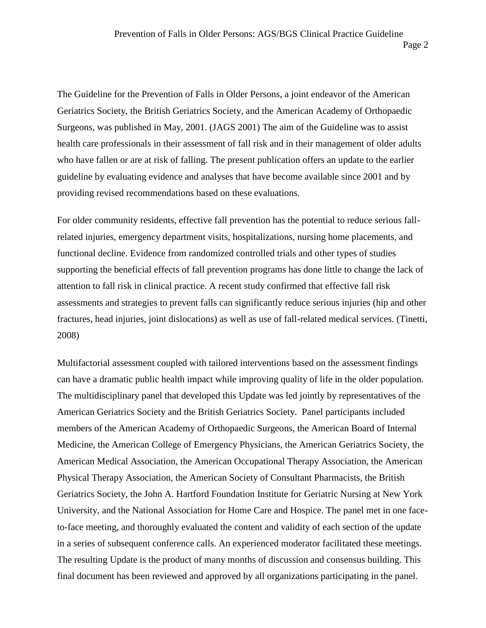The Guideline for the Prevention of Falls in Older Persons, a joint endeavor of the American Geriatrics Society, the British Geriatrics Society, and the American Academy of Orthopaedic

Page 2

Surgeons, was published in May, 2001. (JAGS 2001) The aim of the Guideline was to assist health care professionals in their assessment of fall risk and in their management of older adults who have fallen or are at risk of falling. The present publication offers an update to the earlier guideline by evaluating evidence and analyses that have become available since 2001 and by providing revised recommendations based on these evaluations.

For older community residents, effective fall prevention has the potential to reduce serious fallrelated injuries, emergency department visits, hospitalizations, nursing home placements, and functional decline. Evidence from randomized controlled trials and other types of studies supporting the beneficial effects of fall prevention programs has done little to change the lack of attention to fall risk in clinical practice. A recent study confirmed that effective fall risk assessments and strategies to prevent falls can significantly reduce serious injuries (hip and other fractures, head injuries, joint dislocations) as well as use of fall-related medical services. (Tinetti, 2008)

Multifactorial assessment coupled with tailored interventions based on the assessment findings can have a dramatic public health impact while improving quality of life in the older population. The multidisciplinary panel that developed this Update was led jointly by representatives of the American Geriatrics Society and the British Geriatrics Society. Panel participants included members of the American Academy of Orthopaedic Surgeons, the American Board of Internal Medicine, the American College of Emergency Physicians, the American Geriatrics Society, the American Medical Association, the American Occupational Therapy Association, the American Physical Therapy Association, the American Society of Consultant Pharmacists, the British Geriatrics Society, the John A. Hartford Foundation Institute for Geriatric Nursing at New York University, and the National Association for Home Care and Hospice. The panel met in one faceto-face meeting, and thoroughly evaluated the content and validity of each section of the update in a series of subsequent conference calls. An experienced moderator facilitated these meetings. The resulting Update is the product of many months of discussion and consensus building. This final document has been reviewed and approved by all organizations participating in the panel.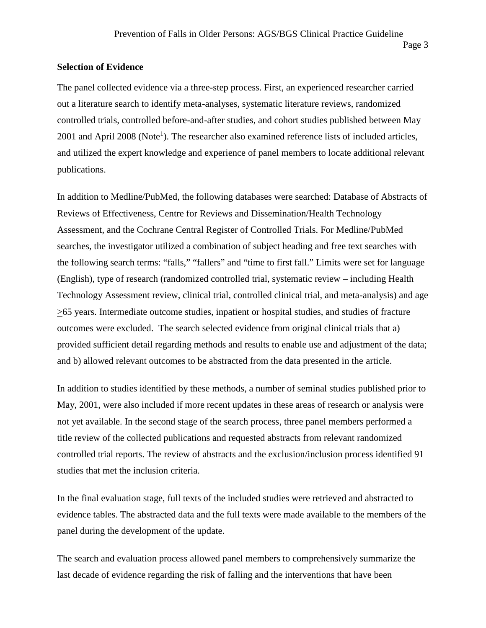#### **Selection of Evidence**

The panel collected evidence via a three-step process. First, an experienced researcher carried out a literature search to identify meta-analyses, systematic literature reviews, randomized controlled trials, controlled before-and-after studies, and cohort studies published between May 2001 and April 2008 (Note<sup>1</sup>). The researcher also examined reference lists of included articles, and utilized the expert knowledge and experience of panel members to locate additional relevant publications.

In addition to Medline/PubMed, the following databases were searched: Database of Abstracts of Reviews of Effectiveness, Centre for Reviews and Dissemination/Health Technology Assessment, and the Cochrane Central Register of Controlled Trials. For Medline/PubMed searches, the investigator utilized a combination of subject heading and free text searches with the following search terms: "falls," "fallers" and "time to first fall." Limits were set for language (English), type of research (randomized controlled trial, systematic review – including Health Technology Assessment review, clinical trial, controlled clinical trial, and meta-analysis) and age >65 years. Intermediate outcome studies, inpatient or hospital studies, and studies of fracture outcomes were excluded. The search selected evidence from original clinical trials that a) provided sufficient detail regarding methods and results to enable use and adjustment of the data; and b) allowed relevant outcomes to be abstracted from the data presented in the article.

In addition to studies identified by these methods, a number of seminal studies published prior to May, 2001, were also included if more recent updates in these areas of research or analysis were not yet available. In the second stage of the search process, three panel members performed a title review of the collected publications and requested abstracts from relevant randomized controlled trial reports. The review of abstracts and the exclusion/inclusion process identified 91 studies that met the inclusion criteria.

In the final evaluation stage, full texts of the included studies were retrieved and abstracted to evidence tables. The abstracted data and the full texts were made available to the members of the panel during the development of the update.

The search and evaluation process allowed panel members to comprehensively summarize the last decade of evidence regarding the risk of falling and the interventions that have been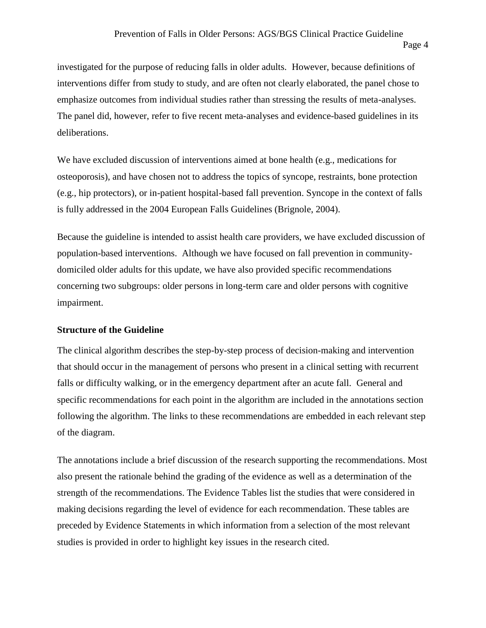investigated for the purpose of reducing falls in older adults. However, because definitions of interventions differ from study to study, and are often not clearly elaborated, the panel chose to emphasize outcomes from individual studies rather than stressing the results of meta-analyses. The panel did, however, refer to five recent meta-analyses and evidence-based guidelines in its deliberations.

We have excluded discussion of interventions aimed at bone health (e.g., medications for osteoporosis), and have chosen not to address the topics of syncope, restraints, bone protection (e.g., hip protectors), or in-patient hospital-based fall prevention. Syncope in the context of falls is fully addressed in the 2004 European Falls Guidelines (Brignole, 2004).

Because the guideline is intended to assist health care providers, we have excluded discussion of population-based interventions. Although we have focused on fall prevention in community domiciled older adults for this update, we have also provided specific recommendations concerning two subgroups: older persons in long-term care and older persons with cognitive impairment.

#### **Structure of the Guideline**

The clinical algorithm describes the step-by-step process of decision-making and intervention that should occur in the management of persons who present in a clinical setting with recurrent falls or difficulty walking, or in the emergency department after an acute fall. General and specific recommendations for each point in the algorithm are included in the annotations section following the algorithm. The links to these recommendations are embedded in each relevant step of the diagram.

The annotations include a brief discussion of the research supporting the recommendations. Most also present the rationale behind the grading of the evidence as well as a determination of the strength of the recommendations. The Evidence Tables list the studies that were considered in making decisions regarding the level of evidence for each recommendation. These tables are preceded by Evidence Statements in which information from a selection of the most relevant studies is provided in order to highlight key issues in the research cited.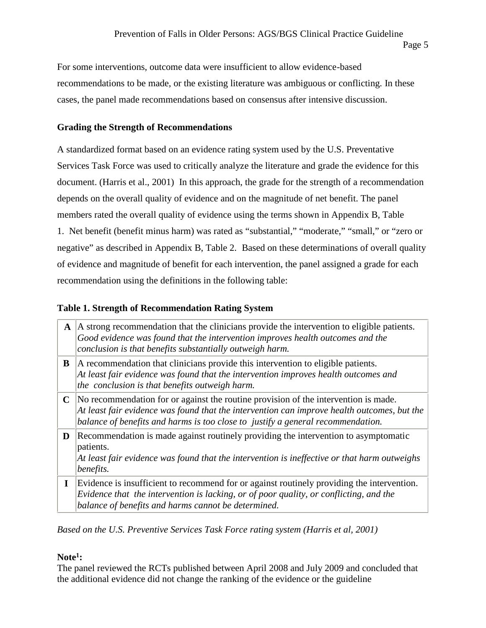For some interventions, outcome data were insufficient to allow evidence-based recommendations to be made, or the existing literature was ambiguous or conflicting. In these cases, the panel made recommendations based on consensus after intensive discussion.

### **Grading the Strength of Recommendations**

A standardized format based on an evidence rating system used by the U.S. Preventative Services Task Force was used to critically analyze the literature and grade the evidence for this document. (Harris et al., 2001) In this approach, the grade for the strength of a recommendation depends on the overall quality of evidence and on the magnitude of net benefit. The panel members rated the overall quality of evidence using the terms shown in Appendix B, Table 1. Net benefit (benefit minus harm) was rated as "substantial," "moderate," "small," or "zero or negative" as described in Appendix B, Table 2. Based on these determinations of overall quality of evidence and magnitude of benefit for each intervention, the panel assigned a grade for each recommendation using the definitions in the following table:

### **Table 1. Strength of Recommendation Rating System**

| $\mathbf{A}$ | A strong recommendation that the clinicians provide the intervention to eligible patients.<br>Good evidence was found that the intervention improves health outcomes and the<br>conclusion is that benefits substantially outweigh harm.                              |
|--------------|-----------------------------------------------------------------------------------------------------------------------------------------------------------------------------------------------------------------------------------------------------------------------|
| B            | A recommendation that clinicians provide this intervention to eligible patients.<br>$\vert$ At least fair evidence was found that the intervention improves health outcomes and<br>the conclusion is that benefits outweigh harm.                                     |
| $\mathbf C$  | No recommendation for or against the routine provision of the intervention is made.<br>At least fair evidence was found that the intervention can improve health outcomes, but the<br>balance of benefits and harms is too close to justify a general recommendation. |
| D            | Recommendation is made against routinely providing the intervention to asymptomatic<br>patients.<br>At least fair evidence was found that the intervention is ineffective or that harm outweighs<br>benefits.                                                         |
| I            | Evidence is insufficient to recommend for or against routinely providing the intervention.<br>Evidence that the intervention is lacking, or of poor quality, or conflicting, and the<br>balance of benefits and harms cannot be determined.                           |

*Based on the U.S. Preventive Services Task Force rating system (Harris et al, 2001)*

### **Note<sup>1</sup> :**

The panel reviewed the RCTs published between April 2008 and July 2009 and concluded that the additional evidence did not change the ranking of the evidence or the guideline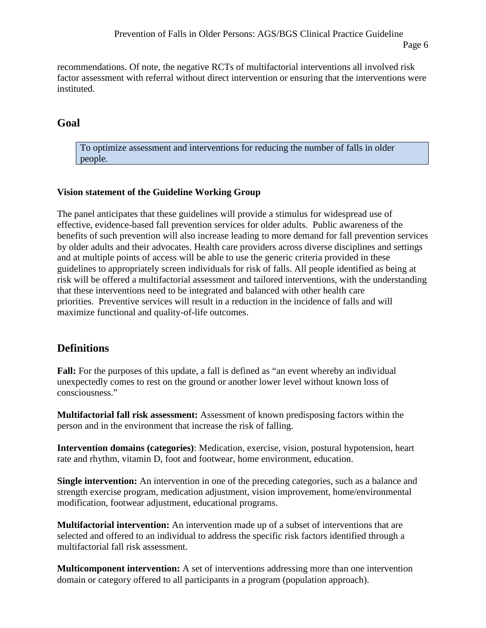recommendations. Of note, the negative RCTs of multifactorial interventions all involved risk factor assessment with referral without direct intervention or ensuring that the interventions were instituted.

### **Goal**

To optimize assessment and interventions for reducing the number of falls in older people.

### **Vision statement of the Guideline Working Group**

The panel anticipates that these guidelines will provide a stimulus for widespread use of effective, evidence-based fall prevention services for older adults. Public awareness of the benefits of such prevention will also increase leading to more demand for fall prevention services by older adults and their advocates. Health care providers across diverse disciplines and settings and at multiple points of access will be able to use the generic criteria provided in these guidelines to appropriately screen individuals for risk of falls. All people identified as being at risk will be offered a multifactorial assessment and tailored interventions, with the understanding that these interventions need to be integrated and balanced with other health care priorities. Preventive services will result in a reduction in the incidence of falls and will maximize functional and quality-of-life outcomes.

### **Definitions**

**Fall:** For the purposes of this update, a fall is defined as "an event whereby an individual unexpectedly comes to rest on the ground or another lower level without known loss of consciousness."

**Multifactorial fall risk assessment:** Assessment of known predisposing factors within the person and in the environment that increase the risk of falling.

**Intervention domains (categories)**: Medication, exercise, vision, postural hypotension, heart rate and rhythm, vitamin D, foot and footwear, home environment, education.

**Single intervention:** An intervention in one of the preceding categories, such as a balance and strength exercise program, medication adjustment, vision improvement, home/environmental modification, footwear adjustment, educational programs.

**Multifactorial intervention:** An intervention made up of a subset of interventions that are selected and offered to an individual to address the specific risk factors identified through a multifactorial fall risk assessment.

**Multicomponent intervention:** A set of interventions addressing more than one intervention domain or category offered to all participants in a program (population approach).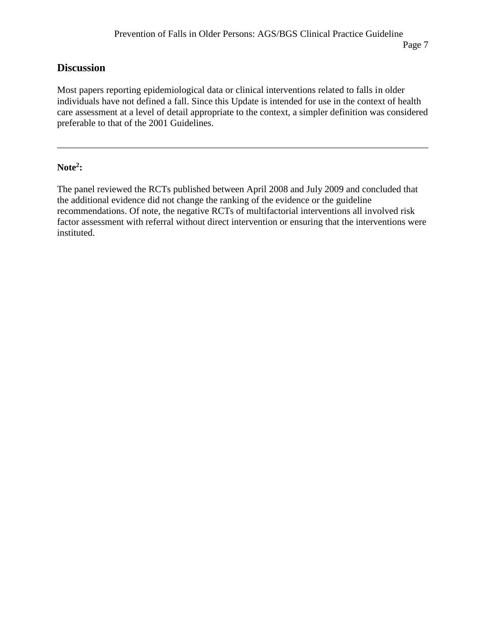### **Discussion**

Most papers reporting epidemiological data or clinical interventions related to falls in older individuals have not defined a fall. Since this Update is intended for use in the context of health care assessment at a level of detail appropriate to the context, a simpler definition was considered preferable to that of the 2001 Guidelines.

### **Note<sup>2</sup> :**

The panel reviewed the RCTs published between April 2008 and July 2009 and concluded that the additional evidence did not change the ranking of the evidence or the guideline recommendations. Of note, the negative RCTs of multifactorial interventions all involved risk factor assessment with referral without direct intervention or ensuring that the interventions were instituted.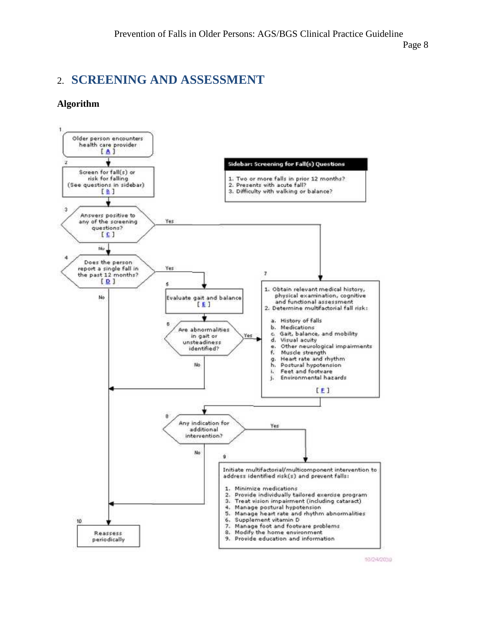Page 8

# 2. **SCREENING AND ASSESSMENT**

#### **Algorithm**



10/24/20:10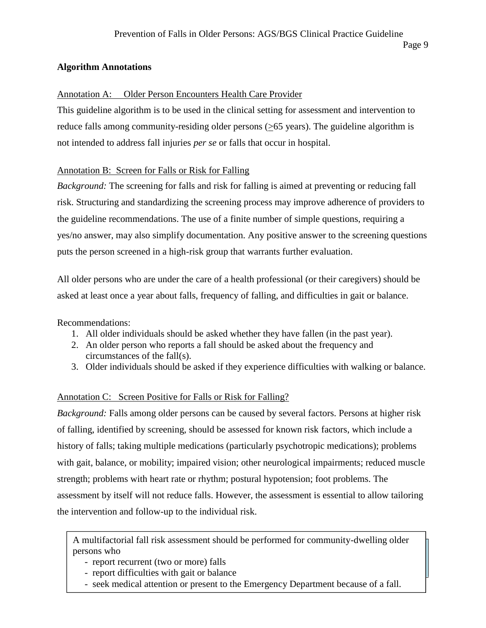### **Algorithm Annotations**

### Annotation A: Older Person Encounters Health Care Provider

This guideline algorithm is to be used in the clinical setting for assessment and intervention to reduce falls among community-residing older persons  $(≥65 \text{ years})$ . The guideline algorithm is not intended to address fall injuries *per se* or falls that occur in hospital.

### Annotation B: Screen for Falls or Risk for Falling

*Background:* The screening for falls and risk for falling is aimed at preventing or reducing fall risk. Structuring and standardizing the screening process may improve adherence of providers to the guideline recommendations. The use of a finite number of simple questions, requiring a yes/no answer, may also simplify documentation. Any positive answer to the screening questions puts the person screened in a high-risk group that warrants further evaluation.

All older persons who are under the care of a health professional (or their caregivers) should be asked at least once a year about falls, frequency of falling, and difficulties in gait or balance.

Recommendations:

- 1. All older individuals should be asked whether they have fallen (in the past year).
- 2. An older person who reports a fall should be asked about the frequency and circumstances of the fall(s).
- 3. Older individuals should be asked if they experience difficulties with walking or balance.

### Annotation C: Screen Positive for Falls or Risk for Falling?

*Background:* Falls among older persons can be caused by several factors. Persons at higher risk of falling, identified by screening, should be assessed for known risk factors, which include a history of falls; taking multiple medications (particularly psychotropic medications); problems with gait, balance, or mobility; impaired vision; other neurological impairments; reduced muscle strength; problems with heart rate or rhythm; postural hypotension; foot problems. The assessment by itself will not reduce falls. However, the assessment is essential to allow tailoring the intervention and follow-up to the individual risk.

A multifactorial fall risk assessment should be performed for community-dwelling older persons who

- report recurrent (two or more) falls
- report difficulties with gait or balance
- seek medical attention or present to the Emergency Department because of a fall.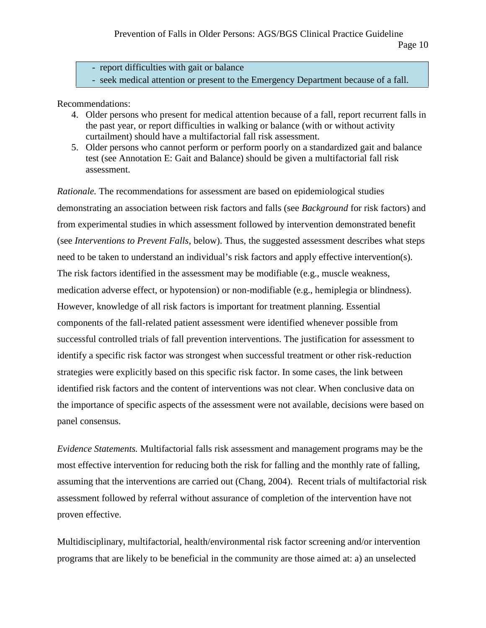- report difficulties with gait or balance

- seek medical attention or present to the Emergency Department because of a fall.

Recommendations:

- 4. Older persons who present for medical attention because of a fall, report recurrent falls in the past year, or report difficulties in walking or balance (with or without activity curtailment) should have a multifactorial fall risk assessment.
- 5. Older persons who cannot perform or perform poorly on a standardized gait and balance test (see Annotation E: Gait and Balance) should be given a multifactorial fall risk assessment.

*Rationale.* The recommendations for assessment are based on epidemiological studies demonstrating an association between risk factors and falls (see *Background* for risk factors) and from experimental studies in which assessment followed by intervention demonstrated benefit (see *Interventions to Prevent Falls*, below). Thus, the suggested assessment describes what steps need to be taken to understand an individual's risk factors and apply effective intervention(s). The risk factors identified in the assessment may be modifiable (e.g., muscle weakness, medication adverse effect, or hypotension) or non-modifiable (e.g., hemiplegia or blindness). However, knowledge of all risk factors is important for treatment planning. Essential components of the fall-related patient assessment were identified whenever possible from successful controlled trials of fall prevention interventions. The justification for assessment to identify a specific risk factor was strongest when successful treatment or other risk-reduction strategies were explicitly based on this specific risk factor. In some cases, the link between identified risk factors and the content of interventions was not clear. When conclusive data on the importance of specific aspects of the assessment were not available, decisions were based on panel consensus.

*Evidence Statements.* Multifactorial falls risk assessment and management programs may be the most effective intervention for reducing both the risk for falling and the monthly rate of falling, assuming that the interventions are carried out (Chang, 2004). Recent trials of multifactorial risk assessment followed by referral without assurance of completion of the intervention have not proven effective.

Multidisciplinary, multifactorial, health/environmental risk factor screening and/or intervention programs that are likely to be beneficial in the community are those aimed at: a) an unselected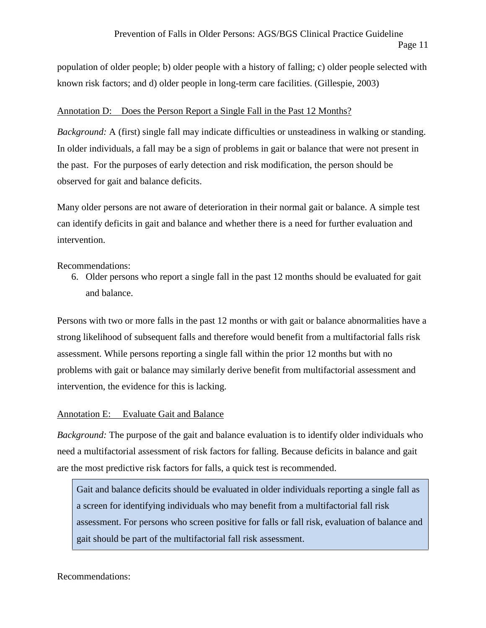population of older people; b) older people with a history of falling; c) older people selected with known risk factors; and d) older people in long-term care facilities. (Gillespie, 2003)

#### Annotation D: Does the Person Report a Single Fall in the Past 12 Months?

*Background:* A (first) single fall may indicate difficulties or unsteadiness in walking or standing. In older individuals, a fall may be a sign of problems in gait or balance that were not present in the past. For the purposes of early detection and risk modification, the person should be observed for gait and balance deficits.

Many older persons are not aware of deterioration in their normal gait or balance. A simple test can identify deficits in gait and balance and whether there is a need for further evaluation and intervention.

Recommendations:

6. Older persons who report a single fall in the past 12 months should be evaluated for gait and balance.

Persons with two or more falls in the past 12 months or with gait or balance abnormalities have a strong likelihood of subsequent falls and therefore would benefit from a multifactorial falls risk assessment. While persons reporting a single fall within the prior 12 months but with no problems with gait or balance may similarly derive benefit from multifactorial assessment and intervention, the evidence for this is lacking.

### Annotation E: Evaluate Gait and Balance

*Background:* The purpose of the gait and balance evaluation is to identify older individuals who need a multifactorial assessment of risk factors for falling. Because deficits in balance and gait are the most predictive risk factors for falls, a quick test is recommended.

Gait and balance deficits should be evaluated in older individuals reporting a single fall as a screen for identifying individuals who may benefit from a multifactorial fall risk assessment. For persons who screen positive for falls or fall risk, evaluation of balance and gait should be part of the multifactorial fall risk assessment.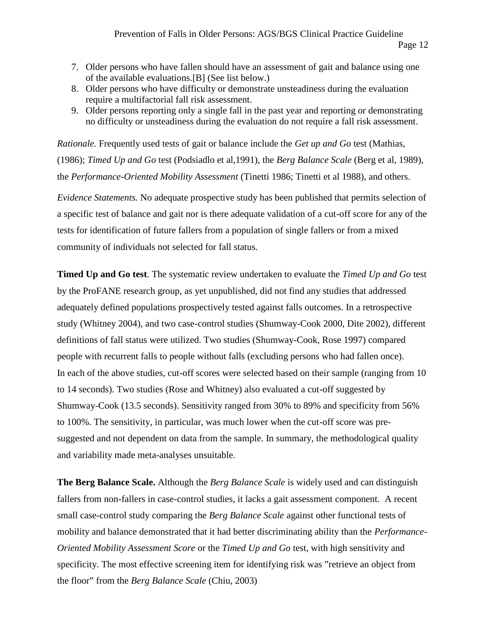- 7. Older persons who have fallen should have an assessment of gait and balance using one of the available evaluations.[B] (See list below.)
- 8. Older persons who have difficulty or demonstrate unsteadiness during the evaluation require a multifactorial fall risk assessment.
- 9. Older persons reporting only a single fall in the past year and reporting or demonstrating no difficulty or unsteadiness during the evaluation do not require a fall risk assessment.

*Rationale.* Frequently used tests of gait or balance include the *Get up and Go* test (Mathias, (1986); *Timed Up and Go* test (Podsiadlo et al,1991), the *Berg Balance Scale* (Berg et al, 1989), the *Performance-Oriented Mobility Assessment* (Tinetti 1986; Tinetti et al 1988), and others.

*Evidence Statements.* No adequate prospective study has been published that permits selection of a specific test of balance and gait nor is there adequate validation of a cut-off score for any of the tests for identification of future fallers from a population of single fallers or from a mixed community of individuals not selected for fall status.

**Timed Up and Go test**. The systematic review undertaken to evaluate the *Timed Up and Go* test by the ProFANE research group, as yet unpublished, did not find any studies that addressed adequately defined populations prospectively tested against falls outcomes. In a retrospective study (Whitney 2004), and two case-control studies (Shumway-Cook 2000, Dite 2002), different definitions of fall status were utilized. Two studies (Shumway-Cook, Rose 1997) compared people with recurrent falls to people without falls (excluding persons who had fallen once). In each of the above studies, cut-off scores were selected based on their sample (ranging from 10 to 14 seconds). Two studies (Rose and Whitney) also evaluated a cut-off suggested by Shumway-Cook (13.5 seconds). Sensitivity ranged from 30% to 89% and specificity from 56% to 100%. The sensitivity, in particular, was much lower when the cut-off score was pre suggested and not dependent on data from the sample. In summary, the methodological quality and variability made meta-analyses unsuitable.

**The Berg Balance Scale.** Although the *Berg Balance Scale* is widely used and can distinguish fallers from non-fallers in case-control studies, it lacks a gait assessment component. A recent small case-control study comparing the *Berg Balance Scale* against other functional tests of mobility and balance demonstrated that it had better discriminating ability than the *Performance- Oriented Mobility Assessment Score* or the *Timed Up and Go* test, with high sensitivity and specificity. The most effective screening item for identifying risk was "retrieve an object from the floor" from the *Berg Balance Scale* (Chiu, 2003)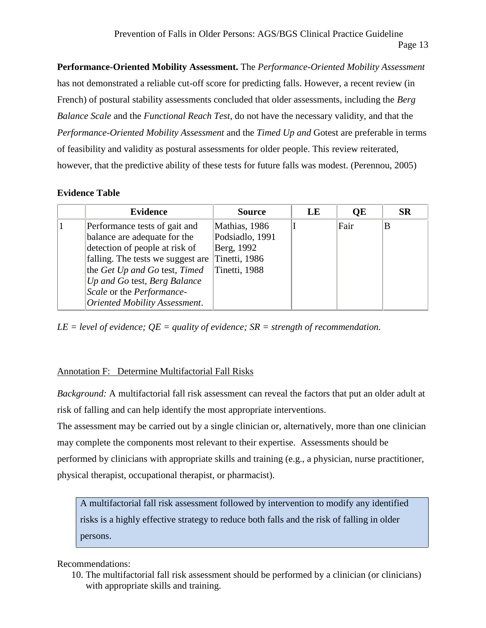**Performance-Oriented Mobility Assessment.** The *Performance-Oriented Mobility Assessment* has not demonstrated a reliable cut-off score for predicting falls. However, a recent review (in French) of postural stability assessments concluded that older assessments, including the *Berg Balance Scale* and the *Functional Reach Test*, do not have the necessary validity, and that the *Performance-Oriented Mobility Assessment* and the *Timed Up and* Gotest are preferable in terms of feasibility and validity as postural assessments for older people. This review reiterated, however, that the predictive ability of these tests for future falls was modest. (Perennou, 2005)

### **Evidence Table**

| <b>Evidence</b>                                 | <b>Source</b>   | LE | <b>OE</b> | <b>SR</b> |
|-------------------------------------------------|-----------------|----|-----------|-----------|
| Performance tests of gait and                   | Mathias, 1986   |    | Fair      |           |
| balance are adequate for the                    | Podsiadlo, 1991 |    |           |           |
| detection of people at risk of                  | Berg, 1992      |    |           |           |
| falling. The tests we suggest are Tinetti, 1986 |                 |    |           |           |
| the Get Up and Go test, Timed                   | Tinetti, 1988   |    |           |           |
| Up and Go test, Berg Balance                    |                 |    |           |           |
| Scale or the Performance-                       |                 |    |           |           |
| Oriented Mobility Assessment.                   |                 |    |           |           |

*LE = level of evidence; QE = quality of evidence; SR = strength of recommendation.*

### Annotation F: Determine Multifactorial Fall Risks

*Background:* A multifactorial fall risk assessment can reveal the factors that put an older adult at risk of falling and can help identify the most appropriate interventions.

The assessment may be carried out by a single clinician or, alternatively, more than one clinician may complete the components most relevant to their expertise. Assessments should be performed by clinicians with appropriate skills and training (e.g., a physician, nurse practitioner, physical therapist, occupational therapist, or pharmacist).

A multifactorial fall risk assessment followed by intervention to modify any identified risks is a highly effective strategy to reduce both falls and the risk of falling in older persons.

### Recommendations:

10. The multifactorial fall risk assessment should be performed by a clinician (or clinicians) with appropriate skills and training.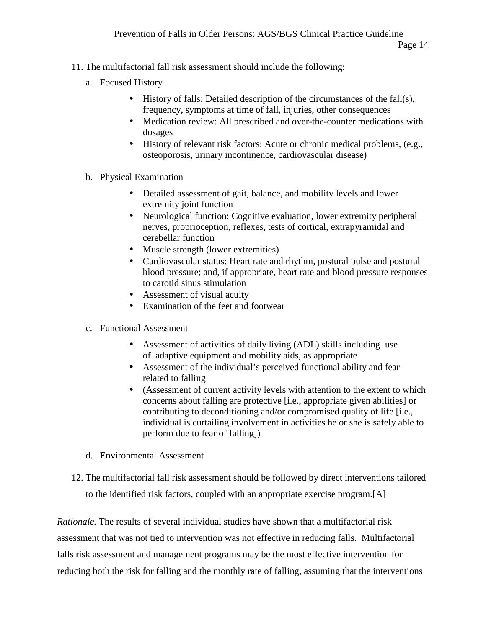- 11. The multifactorial fall risk assessment should include the following:
	- a. Focused History
		- History of falls: Detailed description of the circumstances of the fall(s), frequency, symptoms at time of fall, injuries, other consequences
		- Medication review: All prescribed and over-the-counter medications with dosages
		- History of relevant risk factors: Acute or chronic medical problems, (e.g., osteoporosis, urinary incontinence, cardiovascular disease)
	- b. Physical Examination
		- Detailed assessment of gait, balance, and mobility levels and lower extremity joint function
		- Neurological function: Cognitive evaluation, lower extremity peripheral nerves, proprioception, reflexes, tests of cortical, extrapyramidal and cerebellar function
		- Muscle strength (lower extremities)
		- Cardiovascular status: Heart rate and rhythm, postural pulse and postural blood pressure; and, if appropriate, heart rate and blood pressure responses to carotid sinus stimulation
		- Assessment of visual acuity
		- Examination of the feet and footwear
	- c. Functional Assessment
		- Assessment of activities of daily living (ADL) skills including use of adaptive equipment and mobility aids, as appropriate
		- Assessment of the individual's perceived functional ability and fear related to falling
		- (Assessment of current activity levels with attention to the extent to which concerns about falling are protective [i.e., appropriate given abilities] or contributing to deconditioning and/or compromised quality of life [i.e., individual is curtailing involvement in activities he or she is safely able to perform due to fear of falling])
	- d. Environmental Assessment
- 12. The multifactorial fall risk assessment should be followed by direct interventions tailored to the identified risk factors, coupled with an appropriate exercise program.[A]

*Rationale.* The results of several individual studies have shown that a multifactorial risk assessment that was not tied to intervention was not effective in reducing falls. Multifactorial falls risk assessment and management programs may be the most effective intervention for reducing both the risk for falling and the monthly rate of falling, assuming that the interventions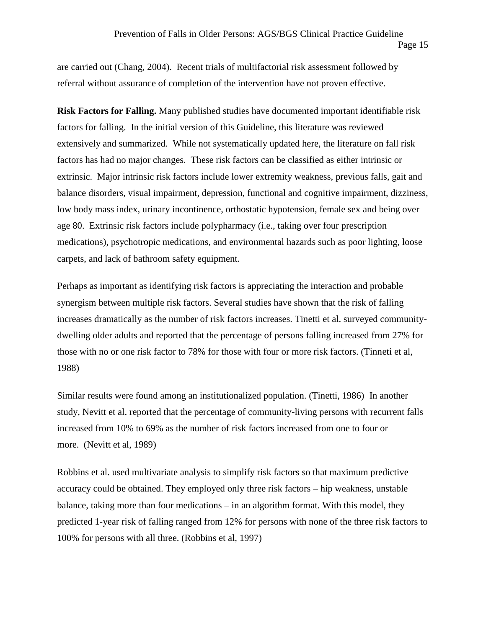are carried out (Chang, 2004). Recent trials of multifactorial risk assessment followed by referral without assurance of completion of the intervention have not proven effective.

**Risk Factors for Falling.** Many published studies have documented important identifiable risk factors for falling. In the initial version of this Guideline, this literature was reviewed extensively and summarized. While not systematically updated here, the literature on fall risk factors has had no major changes. These risk factors can be classified as either intrinsic or extrinsic. Major intrinsic risk factors include lower extremity weakness, previous falls, gait and balance disorders, visual impairment, depression, functional and cognitive impairment, dizziness, low body mass index, urinary incontinence, orthostatic hypotension, female sex and being over age 80. Extrinsic risk factors include polypharmacy (i.e., taking over four prescription medications), psychotropic medications, and environmental hazards such as poor lighting, loose carpets, and lack of bathroom safety equipment.

Perhaps as important as identifying risk factors is appreciating the interaction and probable synergism between multiple risk factors. Several studies have shown that the risk of falling increases dramatically as the number of risk factors increases. Tinetti et al. surveyed community dwelling older adults and reported that the percentage of persons falling increased from 27% for those with no or one risk factor to 78% for those with four or more risk factors. (Tinneti et al, 1988)

Similar results were found among an institutionalized population. (Tinetti, 1986) In another study, Nevitt et al. reported that the percentage of community-living persons with recurrent falls increased from 10% to 69% as the number of risk factors increased from one to four or more. (Nevitt et al, 1989)

Robbins et al. used multivariate analysis to simplify risk factors so that maximum predictive accuracy could be obtained. They employed only three risk factors – hip weakness, unstable balance, taking more than four medications – in an algorithm format. With this model, they predicted 1-year risk of falling ranged from 12% for persons with none of the three risk factors to 100% for persons with all three. (Robbins et al, 1997)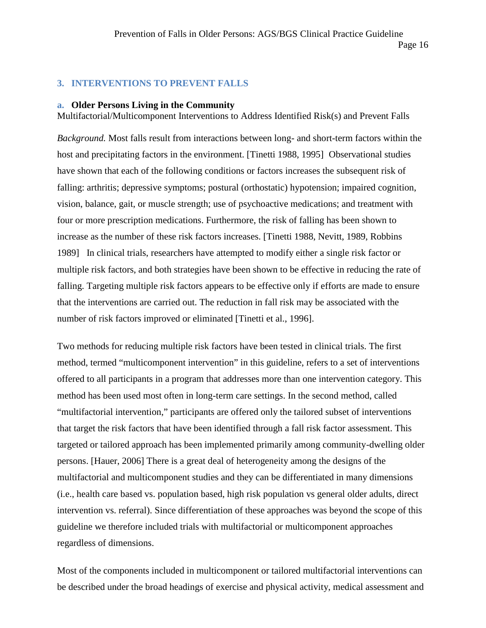### **3. INTERVENTIONS TO PREVENT FALLS**

#### **a. Older Persons Living in the Community**

Multifactorial/Multicomponent Interventions to Address Identified Risk(s) and Prevent Falls

*Background.* Most falls result from interactions between long- and short-term factors within the host and precipitating factors in the environment. [Tinetti 1988, 1995] Observational studies have shown that each of the following conditions or factors increases the subsequent risk of falling: arthritis; depressive symptoms; postural (orthostatic) hypotension; impaired cognition, vision, balance, gait, or muscle strength; use of psychoactive medications; and treatment with four or more prescription medications. Furthermore, the risk of falling has been shown to increase as the number of these risk factors increases. [Tinetti 1988, Nevitt, 1989, Robbins 1989] In clinical trials, researchers have attempted to modify either a single risk factor or multiple risk factors, and both strategies have been shown to be effective in reducing the rate of falling. Targeting multiple risk factors appears to be effective only if efforts are made to ensure that the interventions are carried out. The reduction in fall risk may be associated with the number of risk factors improved or eliminated [Tinetti et al., 1996].

Two methods for reducing multiple risk factors have been tested in clinical trials. The first method, termed "multicomponent intervention" in this guideline, refers to a set of interventions offered to all participants in a program that addresses more than one intervention category. This method has been used most often in long-term care settings. In the second method, called "multifactorial intervention," participants are offered only the tailored subset of interventions that target the risk factors that have been identified through a fall risk factor assessment. This targeted or tailored approach has been implemented primarily among community-dwelling older persons. [Hauer, 2006] There is a great deal of heterogeneity among the designs of the multifactorial and multicomponent studies and they can be differentiated in many dimensions (i.e., health care based vs. population based, high risk population vs general older adults, direct intervention vs. referral). Since differentiation of these approaches was beyond the scope of this guideline we therefore included trials with multifactorial or multicomponent approaches regardless of dimensions.

Most of the components included in multicomponent or tailored multifactorial interventions can be described under the broad headings of exercise and physical activity, medical assessment and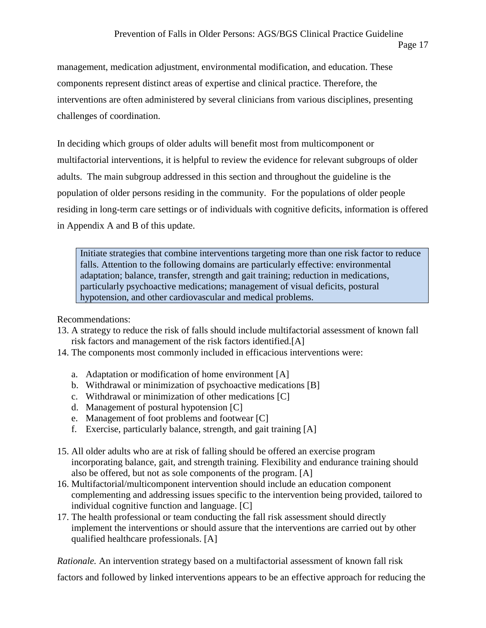management, medication adjustment, environmental modification, and education. These components represent distinct areas of expertise and clinical practice. Therefore, the interventions are often administered by several clinicians from various disciplines, presenting challenges of coordination.

In deciding which groups of older adults will benefit most from multicomponent or multifactorial interventions, it is helpful to review the evidence for relevant subgroups of older adults. The main subgroup addressed in this section and throughout the guideline is the population of older persons residing in the community. For the populations of older people residing in long-term care settings or of individuals with cognitive deficits, information is offered in Appendix A and B of this update.

Initiate strategies that combine interventions targeting more than one risk factor to reduce falls. Attention to the following domains are particularly effective: environmental adaptation; balance, transfer, strength and gait training; reduction in medications, particularly psychoactive medications; management of visual deficits, postural hypotension, and other cardiovascular and medical problems.

Recommendations:

- 13. A strategy to reduce the risk of falls should include multifactorial assessment of known fall risk factors and management of the risk factors identified.[A]
- 14. The components most commonly included in efficacious interventions were:
	- a. Adaptation or modification of home environment [A]
	- b. Withdrawal or minimization of psychoactive medications [B]
	- c. Withdrawal or minimization of other medications [C]
	- d. Management of postural hypotension [C]
	- e. Management of foot problems and footwear [C]
	- f. Exercise, particularly balance, strength, and gait training [A]
- 15. All older adults who are at risk of falling should be offered an exercise program incorporating balance, gait, and strength training. Flexibility and endurance training should also be offered, but not as sole components of the program. [A]
- 16. Multifactorial/multicomponent intervention should include an education component complementing and addressing issues specific to the intervention being provided, tailored to individual cognitive function and language. [C]
- 17. The health professional or team conducting the fall risk assessment should directly implement the interventions or should assure that the interventions are carried out by other qualified healthcare professionals. [A]

*Rationale.* An intervention strategy based on a multifactorial assessment of known fall risk

factors and followed by linked interventions appears to be an effective approach for reducing the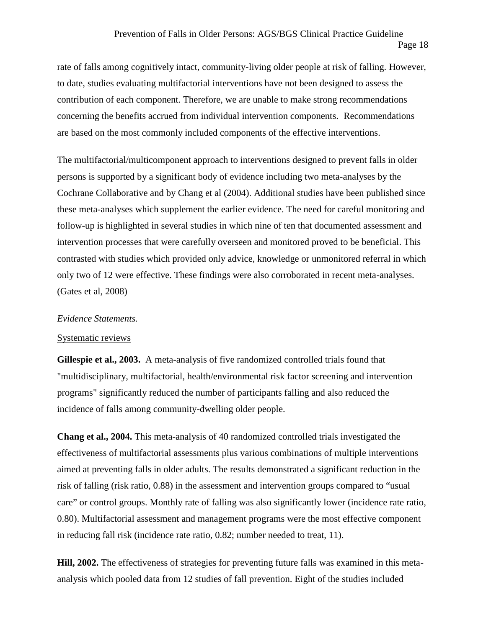rate of falls among cognitively intact, community-living older people at risk of falling. However, to date, studies evaluating multifactorial interventions have not been designed to assess the contribution of each component. Therefore, we are unable to make strong recommendations concerning the benefits accrued from individual intervention components. Recommendations are based on the most commonly included components of the effective interventions.

The multifactorial/multicomponent approach to interventions designed to prevent falls in older persons is supported by a significant body of evidence including two meta-analyses by the Cochrane Collaborative and by Chang et al (2004). Additional studies have been published since these meta-analyses which supplement the earlier evidence. The need for careful monitoring and follow-up is highlighted in several studies in which nine of ten that documented assessment and intervention processes that were carefully overseen and monitored proved to be beneficial. This contrasted with studies which provided only advice, knowledge or unmonitored referral in which only two of 12 were effective. These findings were also corroborated in recent meta-analyses. (Gates et al, 2008)

#### *Evidence Statements.*

#### Systematic reviews

**Gillespie et al., 2003.** A meta-analysis of five randomized controlled trials found that "multidisciplinary, multifactorial, health/environmental risk factor screening and intervention programs" significantly reduced the number of participants falling and also reduced the incidence of falls among community-dwelling older people.

**Chang et al., 2004.** This meta-analysis of 40 randomized controlled trials investigated the effectiveness of multifactorial assessments plus various combinations of multiple interventions aimed at preventing falls in older adults. The results demonstrated a significant reduction in the risk of falling (risk ratio, 0.88) in the assessment and intervention groups compared to "usual care" or control groups. Monthly rate of falling was also significantly lower (incidence rate ratio, 0.80). Multifactorial assessment and management programs were the most effective component in reducing fall risk (incidence rate ratio, 0.82; number needed to treat, 11).

**Hill, 2002.** The effectiveness of strategies for preventing future falls was examined in this meta analysis which pooled data from 12 studies of fall prevention. Eight of the studies included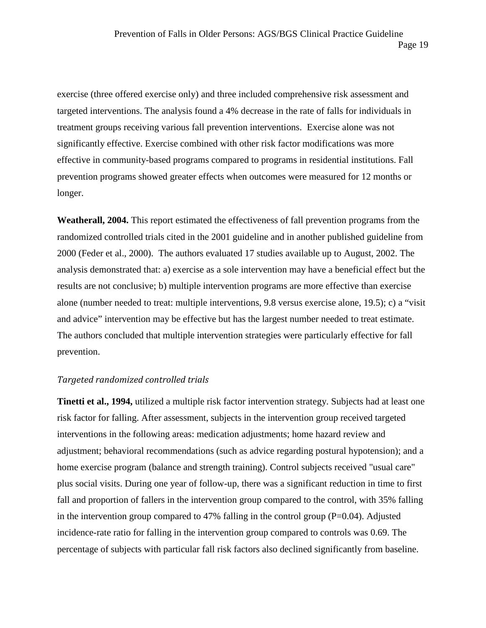exercise (three offered exercise only) and three included comprehensive risk assessment and targeted interventions. The analysis found a 4% decrease in the rate of falls for individuals in treatment groups receiving various fall prevention interventions. Exercise alone was not significantly effective. Exercise combined with other risk factor modifications was more effective in community-based programs compared to programs in residential institutions. Fall prevention programs showed greater effects when outcomes were measured for 12 months or longer.

**Weatherall, 2004.** This report estimated the effectiveness of fall prevention programs from the randomized controlled trials cited in the 2001 guideline and in another published guideline from 2000 (Feder et al., 2000). The authors evaluated 17 studies available up to August, 2002. The analysis demonstrated that: a) exercise as a sole intervention may have a beneficial effect but the results are not conclusive; b) multiple intervention programs are more effective than exercise alone (number needed to treat: multiple interventions, 9.8 versus exercise alone, 19.5); c) a "visit and advice" intervention may be effective but has the largest number needed to treat estimate. The authors concluded that multiple intervention strategies were particularly effective for fall prevention.

#### *Targeted randomized controlled trials*

**Tinetti et al., 1994,** utilized a multiple risk factor intervention strategy. Subjects had at least one risk factor for falling. After assessment, subjects in the intervention group received targeted interventions in the following areas: medication adjustments; home hazard review and adjustment; behavioral recommendations (such as advice regarding postural hypotension); and a home exercise program (balance and strength training). Control subjects received "usual care" plus social visits. During one year of follow-up, there was a significant reduction in time to first fall and proportion of fallers in the intervention group compared to the control, with 35% falling in the intervention group compared to 47% falling in the control group  $(P=0.04)$ . Adjusted incidence-rate ratio for falling in the intervention group compared to controls was 0.69. The percentage of subjects with particular fall risk factors also declined significantly from baseline.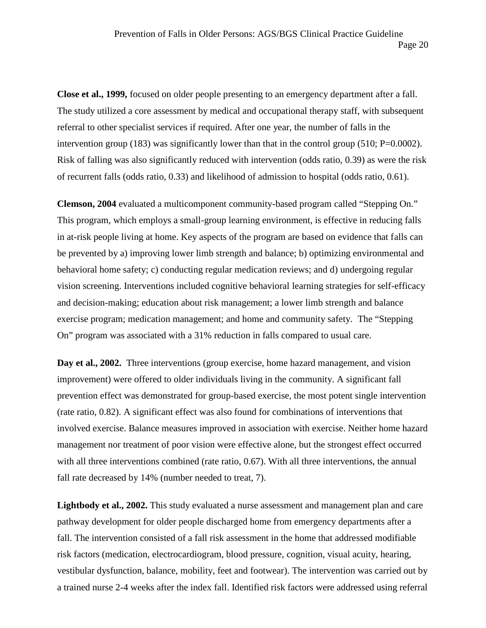**Close et al., 1999,** focused on older people presenting to an emergency department after a fall. The study utilized a core assessment by medical and occupational therapy staff, with subsequent referral to other specialist services if required. After one year, the number of falls in the intervention group (183) was significantly lower than that in the control group (510; P=0.0002). Risk of falling was also significantly reduced with intervention (odds ratio, 0.39) as were the risk of recurrent falls (odds ratio, 0.33) and likelihood of admission to hospital (odds ratio, 0.61).

**Clemson, 2004** evaluated a multicomponent community-based program called "Stepping On." This program, which employs a small-group learning environment, is effective in reducing falls in at-risk people living at home. Key aspects of the program are based on evidence that falls can be prevented by a) improving lower limb strength and balance; b) optimizing environmental and behavioral home safety; c) conducting regular medication reviews; and d) undergoing regular vision screening. Interventions included cognitive behavioral learning strategies for self-efficacy and decision-making; education about risk management; a lower limb strength and balance exercise program; medication management; and home and community safety. The "Stepping On" program was associated with a 31% reduction in falls compared to usual care.

**Day et al., 2002.** Three interventions (group exercise, home hazard management, and vision improvement) were offered to older individuals living in the community. A significant fall prevention effect was demonstrated for group-based exercise, the most potent single intervention (rate ratio, 0.82). A significant effect was also found for combinations of interventions that involved exercise. Balance measures improved in association with exercise. Neither home hazard management nor treatment of poor vision were effective alone, but the strongest effect occurred with all three interventions combined (rate ratio, 0.67). With all three interventions, the annual fall rate decreased by 14% (number needed to treat, 7).

**Lightbody et al., 2002.** This study evaluated a nurse assessment and management plan and care pathway development for older people discharged home from emergency departments after a fall. The intervention consisted of a fall risk assessment in the home that addressed modifiable risk factors (medication, electrocardiogram, blood pressure, cognition, visual acuity, hearing, vestibular dysfunction, balance, mobility, feet and footwear). The intervention was carried out by a trained nurse 2-4 weeks after the index fall. Identified risk factors were addressed using referral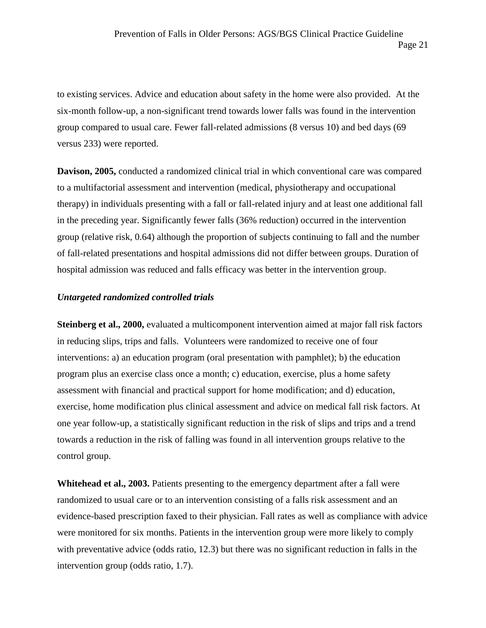to existing services. Advice and education about safety in the home were also provided. At the six-month follow-up, a non-significant trend towards lower falls was found in the intervention group compared to usual care. Fewer fall-related admissions (8 versus 10) and bed days (69 versus 233) were reported.

**Davison, 2005,** conducted a randomized clinical trial in which conventional care was compared to a multifactorial assessment and intervention (medical, physiotherapy and occupational therapy) in individuals presenting with a fall or fall-related injury and at least one additional fall in the preceding year. Significantly fewer falls (36% reduction) occurred in the intervention group (relative risk, 0.64) although the proportion of subjects continuing to fall and the number of fall-related presentations and hospital admissions did not differ between groups. Duration of hospital admission was reduced and falls efficacy was better in the intervention group.

### *Untargeted randomized controlled trials*

**Steinberg et al., 2000,** evaluated a multicomponent intervention aimed at major fall risk factors in reducing slips, trips and falls. Volunteers were randomized to receive one of four interventions: a) an education program (oral presentation with pamphlet); b) the education program plus an exercise class once a month; c) education, exercise, plus a home safety assessment with financial and practical support for home modification; and d) education, exercise, home modification plus clinical assessment and advice on medical fall risk factors. At one year follow-up, a statistically significant reduction in the risk of slips and trips and a trend towards a reduction in the risk of falling was found in all intervention groups relative to the control group.

**Whitehead et al., 2003.** Patients presenting to the emergency department after a fall were randomized to usual care or to an intervention consisting of a falls risk assessment and an evidence-based prescription faxed to their physician. Fall rates as well as compliance with advice were monitored for six months. Patients in the intervention group were more likely to comply with preventative advice (odds ratio, 12.3) but there was no significant reduction in falls in the intervention group (odds ratio, 1.7).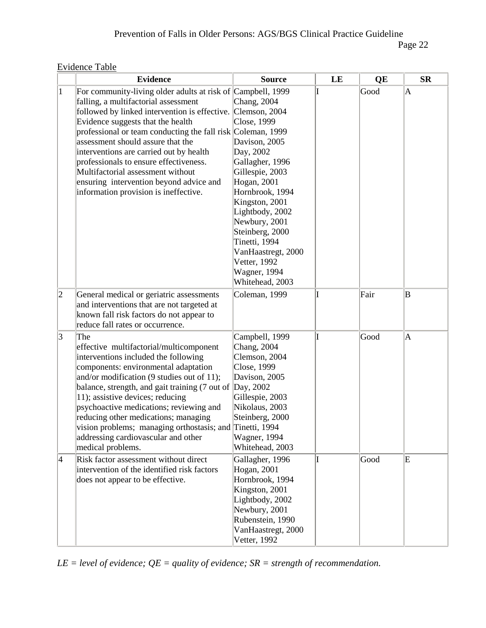| <b>Evidence Table</b> |  |
|-----------------------|--|
|                       |  |

|             | <b>Evidence</b>                                                                                                                                                                                                                                                                                                                                                                                                                                                                                                           | <b>Source</b>                                                                                                                                                                                                                                                                                         | LE | QE   | $S_{\mathbf{R}}$ |
|-------------|---------------------------------------------------------------------------------------------------------------------------------------------------------------------------------------------------------------------------------------------------------------------------------------------------------------------------------------------------------------------------------------------------------------------------------------------------------------------------------------------------------------------------|-------------------------------------------------------------------------------------------------------------------------------------------------------------------------------------------------------------------------------------------------------------------------------------------------------|----|------|------------------|
| $\vert$ 1   | For community-living older adults at risk of Campbell, 1999<br>falling, a multifactorial assessment<br>followed by linked intervention is effective. Clemson, 2004<br>Evidence suggests that the health<br>professional or team conducting the fall risk Coleman, 1999<br>assessment should assure that the<br>interventions are carried out by health<br>professionals to ensure effectiveness.<br>Multifactorial assessment without<br>ensuring intervention beyond advice and<br>information provision is ineffective. | Chang, $2004$<br>Close, 1999<br>Davison, 2005<br>Day, 2002<br>Gallagher, 1996<br>Gillespie, 2003<br>Hogan, 2001<br>Hornbrook, 1994<br>Kingston, 2001<br>Lightbody, 2002<br>Newbury, 2001<br>Steinberg, 2000<br>Tinetti, 1994<br>VanHaastregt, 2000<br>Vetter, 1992<br>Wagner, 1994<br>Whitehead, 2003 |    | Good | A                |
| $ 2\rangle$ | General medical or geriatric assessments<br>and interventions that are not targeted at<br>known fall risk factors do not appear to<br>reduce fall rates or occurrence.                                                                                                                                                                                                                                                                                                                                                    | Coleman, 1999                                                                                                                                                                                                                                                                                         |    | Fair | B                |
| 3           | The<br>effective multifactorial/multicomponent<br>interventions included the following<br>components: environmental adaptation<br>and/or modification (9 studies out of 11);<br>balance, strength, and gait training (7 out of<br>11); assistive devices; reducing<br>psychoactive medications; reviewing and<br>reducing other medications; managing<br>vision problems; managing orthostasis; and Tinetti, 1994<br>addressing cardiovascular and other<br>medical problems.                                             | Campbell, 1999<br>Chang, 2004<br>Clemson, 2004<br>Close, 1999<br>Davison, 2005<br>Day, 2002<br>Gillespie, 2003<br>Nikolaus, 2003<br>Steinberg, 2000<br>Wagner, 1994<br>Whitehead, 2003                                                                                                                | T  | Good | A                |
| 4           | Risk factor assessment without direct<br>intervention of the identified risk factors<br>does not appear to be effective.                                                                                                                                                                                                                                                                                                                                                                                                  | Gallagher, 1996<br>Hogan, 2001<br>Hornbrook, 1994<br>Kingston, 2001<br>Lightbody, 2002<br>Newbury, 2001<br>Rubenstein, 1990<br>VanHaastregt, 2000<br>Vetter, 1992                                                                                                                                     | I  | Good | E                |

*LE = level of evidence; QE = quality of evidence; SR = strength of recommendation.*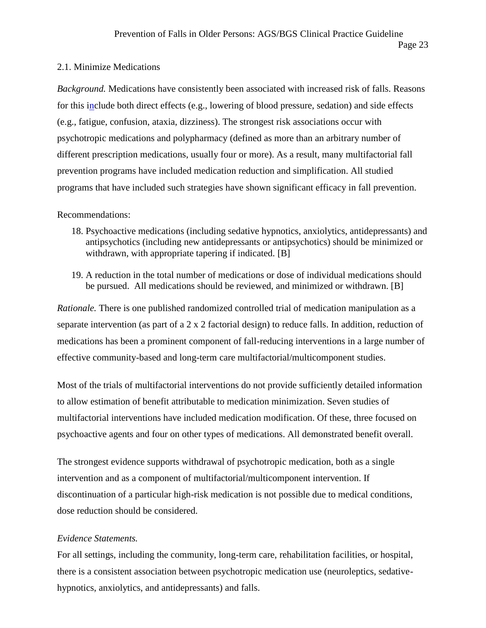#### 2.1. Minimize Medications

*Background.* Medications have consistently been associated with increased risk of falls. Reasons for this include both direct effects (e.g., lowering of blood pressure, sedation) and side effects (e.g., fatigue, confusion, ataxia, dizziness). The strongest risk associations occur with psychotropic medications and polypharmacy (defined as more than an arbitrary number of different prescription medications, usually four or more). As a result, many multifactorial fall prevention programs have included medication reduction and simplification. All studied programs that have included such strategies have shown significant efficacy in fall prevention.

#### Recommendations:

- 18. Psychoactive medications (including sedative hypnotics, anxiolytics, antidepressants) and antipsychotics (including new antidepressants or antipsychotics) should be minimized or withdrawn, with appropriate tapering if indicated. [B]
- 19. A reduction in the total number of medications or dose of individual medications should be pursued. All medications should be reviewed, and minimized or withdrawn. [B]

*Rationale.* There is one published randomized controlled trial of medication manipulation as a separate intervention (as part of a 2 x 2 factorial design) to reduce falls. In addition, reduction of medications has been a prominent component of fall-reducing interventions in a large number of effective community-based and long-term care multifactorial/multicomponent studies.

Most of the trials of multifactorial interventions do not provide sufficiently detailed information to allow estimation of benefit attributable to medication minimization. Seven studies of multifactorial interventions have included medication modification. Of these, three focused on psychoactive agents and four on other types of medications. All demonstrated benefit overall.

The strongest evidence supports withdrawal of psychotropic medication, both as a single intervention and as a component of multifactorial/multicomponent intervention. If discontinuation of a particular high-risk medication is not possible due to medical conditions, dose reduction should be considered.

#### *Evidence Statements.*

For all settings, including the community, long-term care, rehabilitation facilities, or hospital, there is a consistent association between psychotropic medication use (neuroleptics, sedative hypnotics, anxiolytics, and antidepressants) and falls.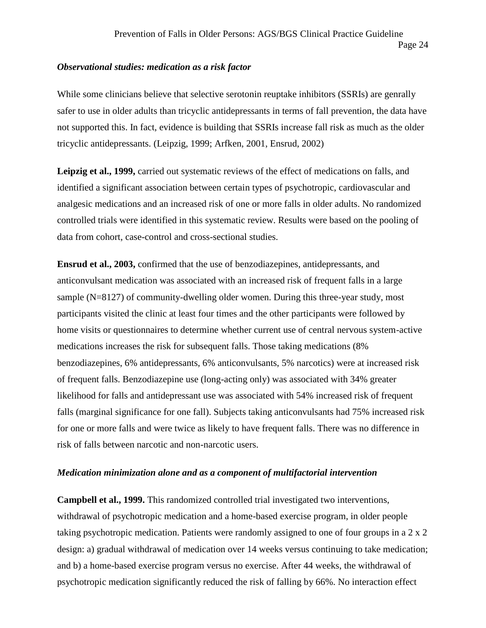#### *Observational studies: medication as a risk factor*

While some clinicians believe that selective serotonin reuptake inhibitors (SSRIs) are genrally safer to use in older adults than tricyclic antidepressants in terms of fall prevention, the data have not supported this. In fact, evidence is building that SSRIs increase fall risk as much as the older tricyclic antidepressants. (Leipzig, 1999; Arfken, 2001, Ensrud, 2002)

**Leipzig et al., 1999,** carried out systematic reviews of the effect of medications on falls, and identified a significant association between certain types of psychotropic, cardiovascular and analgesic medications and an increased risk of one or more falls in older adults. No randomized controlled trials were identified in this systematic review. Results were based on the pooling of data from cohort, case-control and cross-sectional studies.

**Ensrud et al., 2003,** confirmed that the use of benzodiazepines, antidepressants, and anticonvulsant medication was associated with an increased risk of frequent falls in a large sample (N=8127) of community-dwelling older women. During this three-year study, most participants visited the clinic at least four times and the other participants were followed by home visits or questionnaires to determine whether current use of central nervous system-active medications increases the risk for subsequent falls. Those taking medications (8% benzodiazepines, 6% antidepressants, 6% anticonvulsants, 5% narcotics) were at increased risk of frequent falls. Benzodiazepine use (long-acting only) was associated with 34% greater likelihood for falls and antidepressant use was associated with 54% increased risk of frequent falls (marginal significance for one fall). Subjects taking anticonvulsants had 75% increased risk for one or more falls and were twice as likely to have frequent falls. There was no difference in risk of falls between narcotic and non-narcotic users.

#### *Medication minimization alone and as a component of multifactorial intervention*

**Campbell et al., 1999.** This randomized controlled trial investigated two interventions, withdrawal of psychotropic medication and a home-based exercise program, in older people taking psychotropic medication. Patients were randomly assigned to one of four groups in a 2 x 2 design: a) gradual withdrawal of medication over 14 weeks versus continuing to take medication; and b) a home-based exercise program versus no exercise. After 44 weeks, the withdrawal of psychotropic medication significantly reduced the risk of falling by 66%. No interaction effect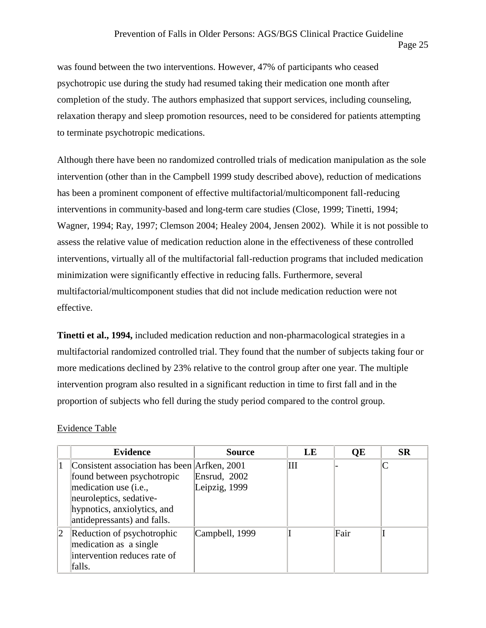was found between the two interventions. However, 47% of participants who ceased psychotropic use during the study had resumed taking their medication one month after completion of the study. The authors emphasized that support services, including counseling, relaxation therapy and sleep promotion resources, need to be considered for patients attempting to terminate psychotropic medications.

Although there have been no randomized controlled trials of medication manipulation as the sole intervention (other than in the Campbell 1999 study described above), reduction of medications has been a prominent component of effective multifactorial/multicomponent fall-reducing interventions in community-based and long-term care studies (Close, 1999; Tinetti, 1994; Wagner, 1994; Ray, 1997; Clemson 2004; Healey 2004, Jensen 2002). While it is not possible to assess the relative value of medication reduction alone in the effectiveness of these controlled interventions, virtually all of the multifactorial fall-reduction programs that included medication minimization were significantly effective in reducing falls. Furthermore, several multifactorial/multicomponent studies that did not include medication reduction were not effective.

**Tinetti et al., 1994,** included medication reduction and non-pharmacological strategies in a multifactorial randomized controlled trial. They found that the number of subjects taking four or more medications declined by 23% relative to the control group after one year. The multiple intervention program also resulted in a significant reduction in time to first fall and in the proportion of subjects who fell during the study period compared to the control group.

#### Evidence Table

|              | <b>Evidence</b>                                                                                                                                                                                       | <b>Source</b>                 | LE | <b>OE</b> | <b>SR</b> |
|--------------|-------------------------------------------------------------------------------------------------------------------------------------------------------------------------------------------------------|-------------------------------|----|-----------|-----------|
|              | Consistent association has been Arfken, 2001<br>found between psychotropic<br>medication use ( <i>i.e.</i> ,<br>neuroleptics, sedative-<br>hypnotics, anxiolytics, and<br>antidepressants) and falls. | Ensrud, 2002<br>Leipzig, 1999 | Ш  |           |           |
| $ 2 \rangle$ | Reduction of psychotrophic<br>medication as a single<br>intervention reduces rate of<br>falls.                                                                                                        | Campbell, 1999                |    | Fair      |           |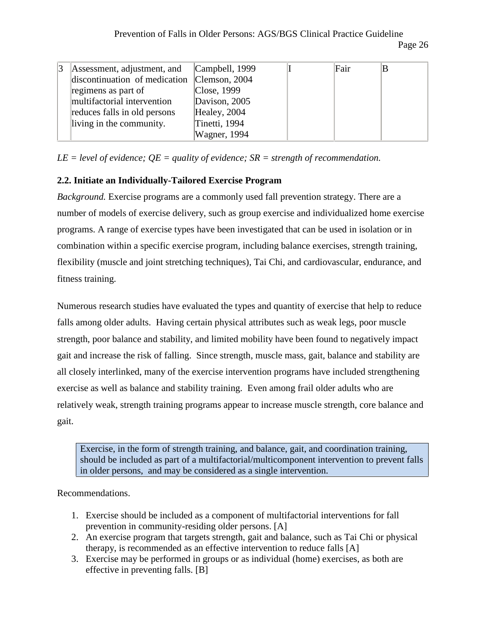| Assessment, adjustment, and                 | Campbell, 1999 | Fair |  |
|---------------------------------------------|----------------|------|--|
| discontinuation of medication Clemson, 2004 |                |      |  |
| regimens as part of                         | Close, 1999    |      |  |
| multifactorial intervention                 | Davison, 2005  |      |  |
| reduces falls in old persons                | Healey, 2004   |      |  |
| living in the community.                    | Tinetti, 1994  |      |  |
|                                             | Wagner, 1994   |      |  |

*LE = level of evidence; QE = quality of evidence; SR = strength of recommendation.*

### **2.2. Initiate an Individually-Tailored Exercise Program**

*Background.* Exercise programs are a commonly used fall prevention strategy. There are a number of models of exercise delivery, such as group exercise and individualized home exercise programs. A range of exercise types have been investigated that can be used in isolation or in combination within a specific exercise program, including balance exercises, strength training, flexibility (muscle and joint stretching techniques), Tai Chi, and cardiovascular, endurance, and fitness training.

Numerous research studies have evaluated the types and quantity of exercise that help to reduce falls among older adults. Having certain physical attributes such as weak legs, poor muscle strength, poor balance and stability, and limited mobility have been found to negatively impact gait and increase the risk of falling. Since strength, muscle mass, gait, balance and stability are all closely interlinked, many of the exercise intervention programs have included strengthening exercise as well as balance and stability training. Even among frail older adults who are relatively weak, strength training programs appear to increase muscle strength, core balance and gait.

Exercise, in the form of strength training, and balance, gait, and coordination training, should be included as part of a multifactorial/multicomponent intervention to prevent falls in older persons, and may be considered as a single intervention.

Recommendations.

- 1. Exercise should be included as a component of multifactorial interventions for fall prevention in community-residing older persons. [A]
- 2. An exercise program that targets strength, gait and balance, such as Tai Chi or physical therapy, is recommended as an effective intervention to reduce falls [A]
- 3. Exercise may be performed in groups or as individual (home) exercises, as both are effective in preventing falls. [B]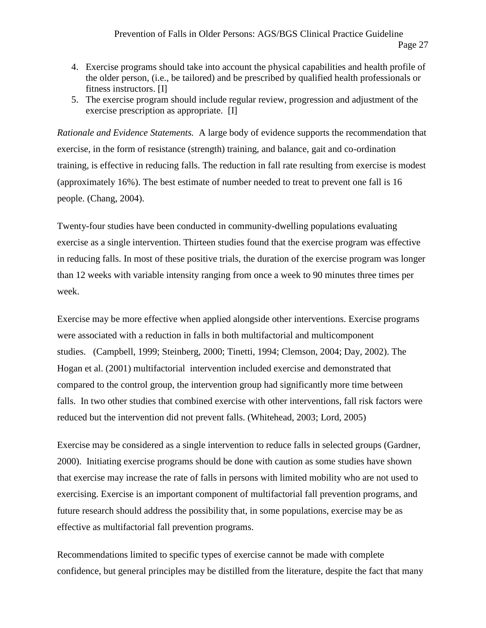- 4. Exercise programs should take into account the physical capabilities and health profile of the older person, (i.e., be tailored) and be prescribed by qualified health professionals or fitness instructors. [I]
- 5. The exercise program should include regular review, progression and adjustment of the exercise prescription as appropriate. [I]

*Rationale and Evidence Statements.* A large body of evidence supports the recommendation that exercise, in the form of resistance (strength) training, and balance, gait and co-ordination training, is effective in reducing falls. The reduction in fall rate resulting from exercise is modest (approximately 16%). The best estimate of number needed to treat to prevent one fall is 16 people. (Chang, 2004).

Twenty-four studies have been conducted in community-dwelling populations evaluating exercise as a single intervention. Thirteen studies found that the exercise program was effective in reducing falls. In most of these positive trials, the duration of the exercise program was longer than 12 weeks with variable intensity ranging from once a week to 90 minutes three times per week.

Exercise may be more effective when applied alongside other interventions. Exercise programs were associated with a reduction in falls in both multifactorial and multicomponent studies. (Campbell, 1999; Steinberg, 2000; Tinetti, 1994; Clemson, 2004; Day, 2002). The Hogan et al. (2001) multifactorial intervention included exercise and demonstrated that compared to the control group, the intervention group had significantly more time between falls. In two other studies that combined exercise with other interventions, fall risk factors were reduced but the intervention did not prevent falls. (Whitehead, 2003; Lord, 2005)

Exercise may be considered as a single intervention to reduce falls in selected groups (Gardner, 2000). Initiating exercise programs should be done with caution as some studies have shown that exercise may increase the rate of falls in persons with limited mobility who are not used to exercising. Exercise is an important component of multifactorial fall prevention programs, and future research should address the possibility that, in some populations, exercise may be as effective as multifactorial fall prevention programs.

Recommendations limited to specific types of exercise cannot be made with complete confidence, but general principles may be distilled from the literature, despite the fact that many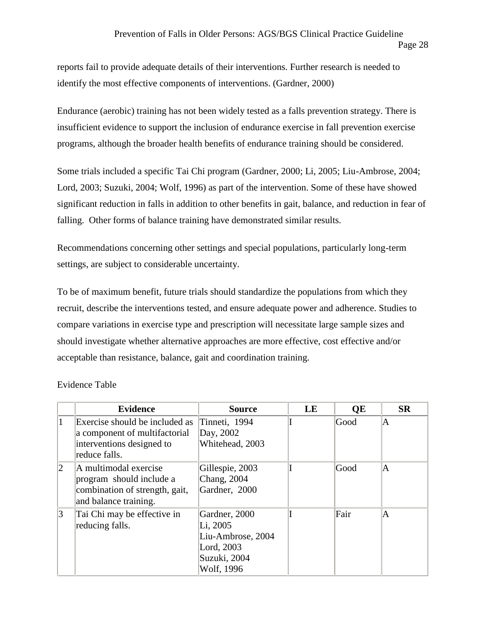reports fail to provide adequate details of their interventions. Further research is needed to identify the most effective components of interventions. (Gardner, 2000)

Endurance (aerobic) training has not been widely tested as a falls prevention strategy. There is insufficient evidence to support the inclusion of endurance exercise in fall prevention exercise programs, although the broader health benefits of endurance training should be considered.

Some trials included a specific Tai Chi program (Gardner, 2000; Li, 2005; Liu-Ambrose, 2004; Lord, 2003; Suzuki, 2004; Wolf, 1996) as part of the intervention. Some of these have showed significant reduction in falls in addition to other benefits in gait, balance, and reduction in fear of falling. Other forms of balance training have demonstrated similar results.

Recommendations concerning other settings and special populations, particularly long-term settings, are subject to considerable uncertainty.

To be of maximum benefit, future trials should standardize the populations from which they recruit, describe the interventions tested, and ensure adequate power and adherence. Studies to compare variations in exercise type and prescription will necessitate large sample sizes and should investigate whether alternative approaches are more effective, cost effective and/or acceptable than resistance, balance, gait and coordination training.

|                 | <b>Evidence</b>                                                                                               | <b>Source</b>                                                                              | LE | QE   | <b>SR</b> |
|-----------------|---------------------------------------------------------------------------------------------------------------|--------------------------------------------------------------------------------------------|----|------|-----------|
| 1               | Exercise should be included as<br>a component of multifactorial<br>interventions designed to<br>reduce falls. | Tinneti, 1994<br>Day, 2002<br>Whitehead, 2003                                              |    | Good | A         |
| $ 2\rangle$     | A multimodal exercise<br>program should include a<br>combination of strength, gait,<br>and balance training.  | Gillespie, 2003<br>Chang, 2004<br>Gardner, 2000                                            |    | Good | IA.       |
| $\vert 3 \vert$ | Tai Chi may be effective in<br>reducing falls.                                                                | Gardner, 2000<br>Li, 2005<br>Liu-Ambrose, 2004<br>Lord, 2003<br>Suzuki, 2004<br>Wolf, 1996 |    | Fair | A         |

Evidence Table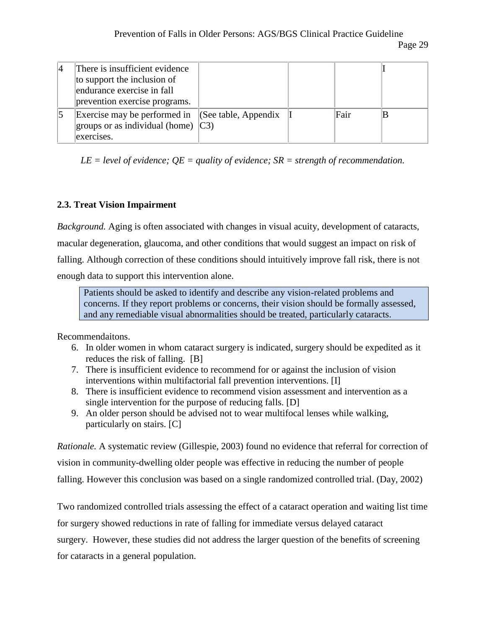| There is insufficient evidence<br>to support the inclusion of<br>endurance exercise in fall<br>prevention exercise programs. |  |      |  |
|------------------------------------------------------------------------------------------------------------------------------|--|------|--|
| Exercise may be performed in $\ $ (See table, Appendix<br>groups or as individual (home) $\vert$ C3)<br>exercises.           |  | Fair |  |

*LE = level of evidence; QE = quality of evidence; SR = strength of recommendation.*

### **2.3. Treat Vision Impairment**

*Background.* Aging is often associated with changes in visual acuity, development of cataracts, macular degeneration, glaucoma, and other conditions that would suggest an impact on risk of falling. Although correction of these conditions should intuitively improve fall risk, there is not enough data to support this intervention alone.

Patients should be asked to identify and describe any vision-related problems and concerns. If they report problems or concerns, their vision should be formally assessed, and any remediable visual abnormalities should be treated, particularly cataracts.

Recommendaitons.

- 6. In older women in whom cataract surgery is indicated, surgery should be expedited as it reduces the risk of falling. [B]
- 7. There is insufficient evidence to recommend for or against the inclusion of vision interventions within multifactorial fall prevention interventions. [I]
- 8. There is insufficient evidence to recommend vision assessment and intervention as a single intervention for the purpose of reducing falls. [D]
- 9. An older person should be advised not to wear multifocal lenses while walking, particularly on stairs. [C]

*Rationale.* A systematic review (Gillespie, 2003) found no evidence that referral for correction of vision in community-dwelling older people was effective in reducing the number of people falling. However this conclusion was based on a single randomized controlled trial. (Day, 2002)

Two randomized controlled trials assessing the effect of a cataract operation and waiting list time for surgery showed reductions in rate of falling for immediate versus delayed cataract surgery. However, these studies did not address the larger question of the benefits of screening for cataracts in a general population.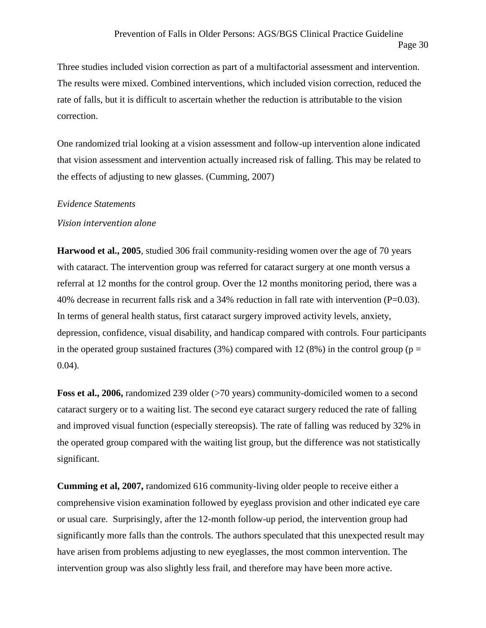Three studies included vision correction as part of a multifactorial assessment and intervention. The results were mixed. Combined interventions, which included vision correction, reduced the rate of falls, but it is difficult to ascertain whether the reduction is attributable to the vision correction.

One randomized trial looking at a vision assessment and follow-up intervention alone indicated that vision assessment and intervention actually increased risk of falling. This may be related to the effects of adjusting to new glasses. (Cumming, 2007)

#### *Evidence Statements*

#### *Vision intervention alone*

**Harwood et al., 2005**, studied 306 frail community-residing women over the age of 70 years with cataract. The intervention group was referred for cataract surgery at one month versus a referral at 12 months for the control group. Over the 12 months monitoring period, there was a 40% decrease in recurrent falls risk and a 34% reduction in fall rate with intervention  $(P=0.03)$ . In terms of general health status, first cataract surgery improved activity levels, anxiety, depression, confidence, visual disability, and handicap compared with controls. Four participants in the operated group sustained fractures (3%) compared with 12 (8%) in the control group ( $p =$ 0.04).

**Foss et al., 2006,** randomized 239 older (>70 years) community-domiciled women to a second cataract surgery or to a waiting list. The second eye cataract surgery reduced the rate of falling and improved visual function (especially stereopsis). The rate of falling was reduced by 32% in the operated group compared with the waiting list group, but the difference was not statistically significant.

**Cumming et al, 2007,** randomized 616 community-living older people to receive either a comprehensive vision examination followed by eyeglass provision and other indicated eye care or usual care. Surprisingly, after the 12-month follow-up period, the intervention group had significantly more falls than the controls. The authors speculated that this unexpected result may have arisen from problems adjusting to new eyeglasses, the most common intervention. The intervention group was also slightly less frail, and therefore may have been more active.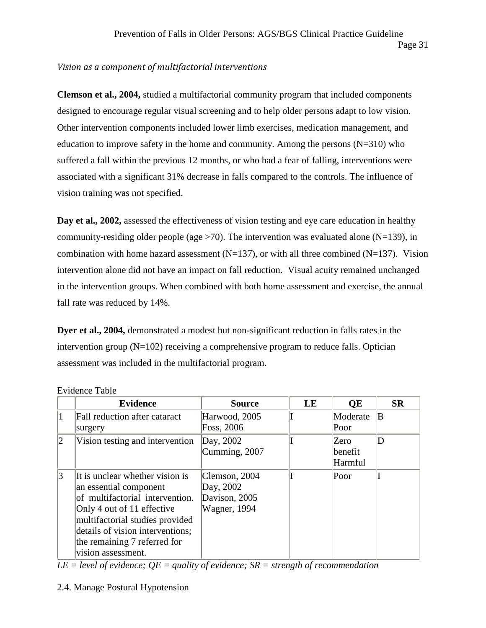### *Vision as a component of multifactorial interventions*

**Clemson et al., 2004,** studied a multifactorial community program that included components designed to encourage regular visual screening and to help older persons adapt to low vision. Other intervention components included lower limb exercises, medication management, and education to improve safety in the home and community. Among the persons  $(N=310)$  who suffered a fall within the previous 12 months, or who had a fear of falling, interventions were associated with a significant 31% decrease in falls compared to the controls. The influence of vision training was not specified.

**Day et al., 2002,** assessed the effectiveness of vision testing and eye care education in healthy community-residing older people (age  $>70$ ). The intervention was evaluated alone (N=139), in combination with home hazard assessment  $(N=137)$ , or with all three combined  $(N=137)$ . Vision intervention alone did not have an impact on fall reduction. Visual acuity remained unchanged in the intervention groups. When combined with both home assessment and exercise, the annual fall rate was reduced by 14%.

**Dyer et al., 2004,** demonstrated a modest but non-significant reduction in falls rates in the intervention group (N=102) receiving a comprehensive program to reduce falls. Optician assessment was included in the multifactorial program.

|   | <b>Evidence</b>                                                                                                                                                                                                                                         | <b>Source</b>                                                       | LE | QE                          | <b>SR</b> |
|---|---------------------------------------------------------------------------------------------------------------------------------------------------------------------------------------------------------------------------------------------------------|---------------------------------------------------------------------|----|-----------------------------|-----------|
|   | Fall reduction after cataract<br>surgery                                                                                                                                                                                                                | Harwood, 2005<br>Foss, 2006                                         |    | Moderate<br>Poor            | ΙB        |
| 2 | Vision testing and intervention                                                                                                                                                                                                                         | Day, 2002<br>Cumming, 2007                                          |    | Zero<br> benefit<br>Harmful | D         |
| 3 | It is unclear whether vision is<br>an essential component<br>of multifactorial intervention.<br>Only 4 out of 11 effective<br>multifactorial studies provided<br>details of vision interventions;<br>the remaining 7 referred for<br>vision assessment. | Clemson, 2004<br>Day, 2002<br>Davison, 2005<br><b>Wagner</b> , 1994 |    | Poor                        |           |

Evidence Table

*LE = level of evidence; QE = quality of evidence; SR = strength of recommendation*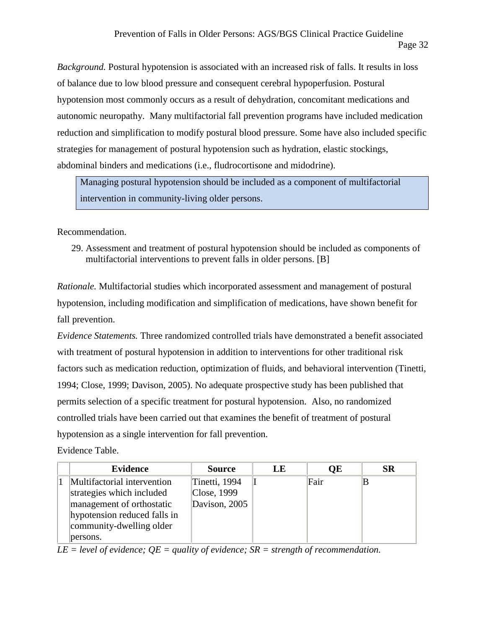*Background.* Postural hypotension is associated with an increased risk of falls. It results in loss of balance due to low blood pressure and consequent cerebral hypoperfusion. Postural hypotension most commonly occurs as a result of dehydration, concomitant medications and autonomic neuropathy. Many multifactorial fall prevention programs have included medication reduction and simplification to modify postural blood pressure. Some have also included specific strategies for management of postural hypotension such as hydration, elastic stockings, abdominal binders and medications (i.e., fludrocortisone and midodrine).

Managing postural hypotension should be included as a component of multifactorial intervention in community-living older persons.

Recommendation.

29. Assessment and treatment of postural hypotension should be included as components of multifactorial interventions to prevent falls in older persons. [B]

*Rationale.* Multifactorial studies which incorporated assessment and management of postural hypotension, including modification and simplification of medications, have shown benefit for fall prevention.

*Evidence Statements.* Three randomized controlled trials have demonstrated a benefit associated with treatment of postural hypotension in addition to interventions for other traditional risk factors such as medication reduction, optimization of fluids, and behavioral intervention (Tinetti, 1994; Close, 1999; Davison, 2005). No adequate prospective study has been published that permits selection of a specific treatment for postural hypotension. Also, no randomized controlled trials have been carried out that examines the benefit of treatment of postural hypotension as a single intervention for fall prevention.

Evidence Table.

| Evidence                                               | <b>Source</b>                | LE | <b>OE</b> | <b>SR</b> |
|--------------------------------------------------------|------------------------------|----|-----------|-----------|
| Multifactorial intervention                            | Tinetti, 1994                |    | Fair      |           |
| strategies which included<br>management of orthostatic | Close, 1999<br>Davison, 2005 |    |           |           |
| hypotension reduced falls in                           |                              |    |           |           |
| community-dwelling older                               |                              |    |           |           |
| persons.                                               |                              |    |           |           |

*LE = level of evidence; QE = quality of evidence; SR = strength of recommendation.*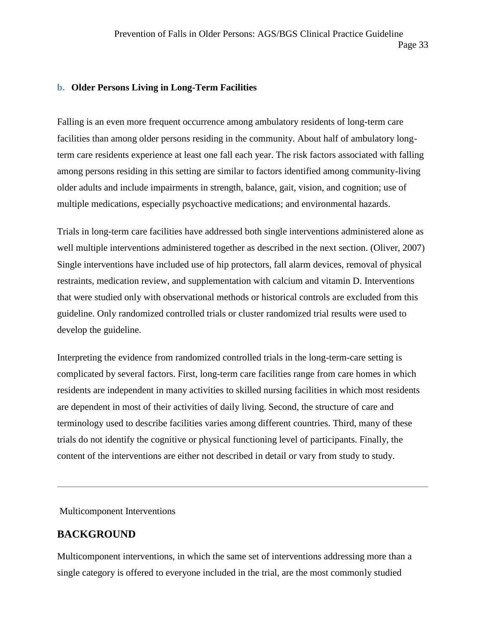#### **b. Older Persons Living in Long-Term Facilities**

Falling is an even more frequent occurrence among ambulatory residents of long-term care facilities than among older persons residing in the community. About half of ambulatory longterm care residents experience at least one fall each year. The risk factors associated with falling among persons residing in this setting are similar to factors identified among community-living older adults and include impairments in strength, balance, gait, vision, and cognition; use of multiple medications, especially psychoactive medications; and environmental hazards.

Trials in long-term care facilities have addressed both single interventions administered alone as well multiple interventions administered together as described in the next section. (Oliver, 2007) Single interventions have included use of hip protectors, fall alarm devices, removal of physical restraints, medication review, and supplementation with calcium and vitamin D. Interventions that were studied only with observational methods or historical controls are excluded from this guideline. Only randomized controlled trials or cluster randomized trial results were used to develop the guideline.

Interpreting the evidence from randomized controlled trials in the long-term-care setting is complicated by several factors. First, long-term care facilities range from care homes in which residents are independent in many activities to skilled nursing facilities in which most residents are dependent in most of their activities of daily living. Second, the structure of care and terminology used to describe facilities varies among different countries. Third, many of these trials do not identify the cognitive or physical functioning level of participants. Finally, the content of the interventions are either not described in detail or vary from study to study.

Multicomponent Interventions

### **BACKGROUND**

Multicomponent interventions, in which the same set of interventions addressing more than a single category is offered to everyone included in the trial, are the most commonly studied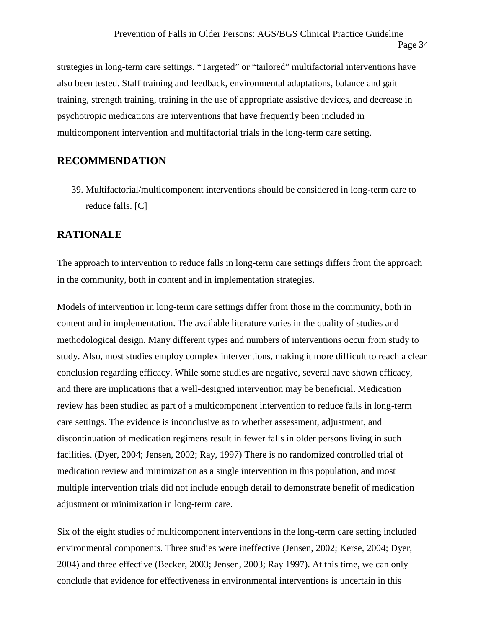strategies in long-term care settings. "Targeted" or "tailored" multifactorial interventions have also been tested. Staff training and feedback, environmental adaptations, balance and gait training, strength training, training in the use of appropriate assistive devices, and decrease in psychotropic medications are interventions that have frequently been included in multicomponent intervention and multifactorial trials in the long-term care setting.

### **RECOMMENDATION**

39. Multifactorial/multicomponent interventions should be considered in long-term care to reduce falls. [C]

### **RATIONALE**

The approach to intervention to reduce falls in long-term care settings differs from the approach in the community, both in content and in implementation strategies.

Models of intervention in long-term care settings differ from those in the community, both in content and in implementation. The available literature varies in the quality of studies and methodological design. Many different types and numbers of interventions occur from study to study. Also, most studies employ complex interventions, making it more difficult to reach a clear conclusion regarding efficacy. While some studies are negative, several have shown efficacy, and there are implications that a well-designed intervention may be beneficial. Medication review has been studied as part of a multicomponent intervention to reduce falls in long-term care settings. The evidence is inconclusive as to whether assessment, adjustment, and discontinuation of medication regimens result in fewer falls in older persons living in such facilities. (Dyer, 2004; Jensen, 2002; Ray, 1997) There is no randomized controlled trial of medication review and minimization as a single intervention in this population, and most multiple intervention trials did not include enough detail to demonstrate benefit of medication adjustment or minimization in long-term care.

Six of the eight studies of multicomponent interventions in the long-term care setting included environmental components. Three studies were ineffective (Jensen, 2002; Kerse, 2004; Dyer, 2004) and three effective (Becker, 2003; Jensen, 2003; Ray 1997). At this time, we can only conclude that evidence for effectiveness in environmental interventions is uncertain in this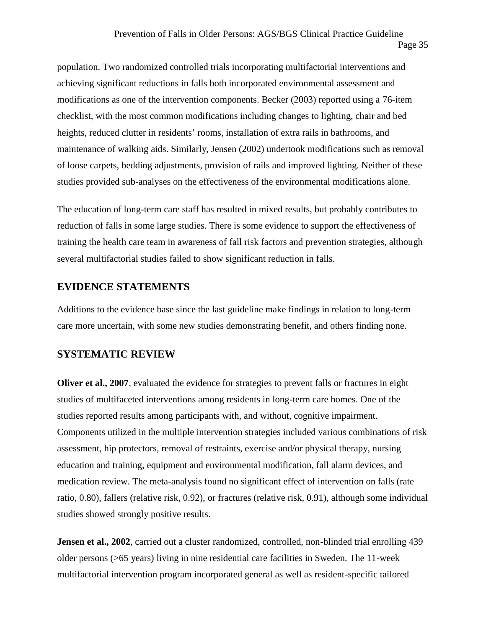population. Two randomized controlled trials incorporating multifactorial interventions and achieving significant reductions in falls both incorporated environmental assessment and modifications as one of the intervention components. Becker (2003) reported using a 76-item checklist, with the most common modifications including changes to lighting, chair and bed heights, reduced clutter in residents' rooms, installation of extra rails in bathrooms, and maintenance of walking aids. Similarly, Jensen (2002) undertook modifications such as removal of loose carpets, bedding adjustments, provision of rails and improved lighting. Neither of these studies provided sub-analyses on the effectiveness of the environmental modifications alone.

The education of long-term care staff has resulted in mixed results, but probably contributes to reduction of falls in some large studies. There is some evidence to support the effectiveness of training the health care team in awareness of fall risk factors and prevention strategies, although several multifactorial studies failed to show significant reduction in falls.

### **EVIDENCE STATEMENTS**

Additions to the evidence base since the last guideline make findings in relation to long-term care more uncertain, with some new studies demonstrating benefit, and others finding none.

### **SYSTEMATIC REVIEW**

**Oliver et al., 2007**, evaluated the evidence for strategies to prevent falls or fractures in eight studies of multifaceted interventions among residents in long-term care homes. One of the studies reported results among participants with, and without, cognitive impairment. Components utilized in the multiple intervention strategies included various combinations of risk assessment, hip protectors, removal of restraints, exercise and/or physical therapy, nursing education and training, equipment and environmental modification, fall alarm devices, and medication review. The meta-analysis found no significant effect of intervention on falls (rate ratio, 0.80), fallers (relative risk, 0.92), or fractures (relative risk, 0.91), although some individual studies showed strongly positive results.

**Jensen et al., 2002**, carried out a cluster randomized, controlled, non-blinded trial enrolling 439 older persons (>65 years) living in nine residential care facilities in Sweden. The 11-week multifactorial intervention program incorporated general as well as resident-specific tailored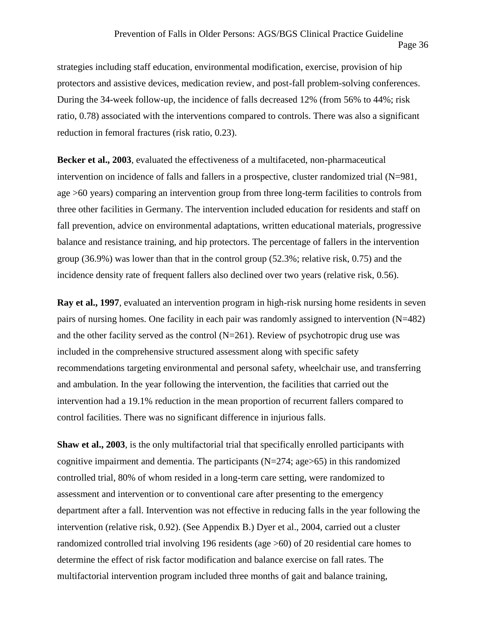strategies including staff education, environmental modification, exercise, provision of hip protectors and assistive devices, medication review, and post-fall problem-solving conferences. During the 34-week follow-up, the incidence of falls decreased 12% (from 56% to 44%; risk ratio, 0.78) associated with the interventions compared to controls. There was also a significant reduction in femoral fractures (risk ratio, 0.23).

**Becker et al., 2003**, evaluated the effectiveness of a multifaceted, non-pharmaceutical intervention on incidence of falls and fallers in a prospective, cluster randomized trial (N=981, age >60 years) comparing an intervention group from three long-term facilities to controls from three other facilities in Germany. The intervention included education for residents and staff on fall prevention, advice on environmental adaptations, written educational materials, progressive balance and resistance training, and hip protectors. The percentage of fallers in the intervention group (36.9%) was lower than that in the control group (52.3%; relative risk, 0.75) and the incidence density rate of frequent fallers also declined over two years (relative risk, 0.56).

**Ray et al., 1997**, evaluated an intervention program in high-risk nursing home residents in seven pairs of nursing homes. One facility in each pair was randomly assigned to intervention (N=482) and the other facility served as the control  $(N=261)$ . Review of psychotropic drug use was included in the comprehensive structured assessment along with specific safety recommendations targeting environmental and personal safety, wheelchair use, and transferring and ambulation. In the year following the intervention, the facilities that carried out the intervention had a 19.1% reduction in the mean proportion of recurrent fallers compared to control facilities. There was no significant difference in injurious falls.

**Shaw et al., 2003**, is the only multifactorial trial that specifically enrolled participants with cognitive impairment and dementia. The participants  $(N=274; \text{age} > 65)$  in this randomized controlled trial, 80% of whom resided in a long-term care setting, were randomized to assessment and intervention or to conventional care after presenting to the emergency department after a fall. Intervention was not effective in reducing falls in the year following the intervention (relative risk, 0.92). (See Appendix B.) Dyer et al., 2004, carried out a cluster randomized controlled trial involving 196 residents (age >60) of 20 residential care homes to determine the effect of risk factor modification and balance exercise on fall rates. The multifactorial intervention program included three months of gait and balance training,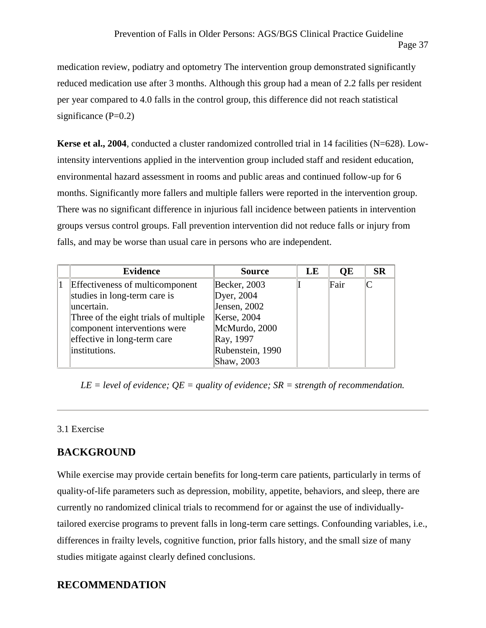medication review, podiatry and optometry The intervention group demonstrated significantly reduced medication use after 3 months. Although this group had a mean of 2.2 falls per resident per year compared to 4.0 falls in the control group, this difference did not reach statistical significance  $(P=0.2)$ 

**Kerse et al., 2004**, conducted a cluster randomized controlled trial in 14 facilities (N=628). Lowintensity interventions applied in the intervention group included staff and resident education, environmental hazard assessment in rooms and public areas and continued follow-up for 6 months. Significantly more fallers and multiple fallers were reported in the intervention group. There was no significant difference in injurious fall incidence between patients in intervention groups versus control groups. Fall prevention intervention did not reduce falls or injury from falls, and may be worse than usual care in persons who are independent.

| <b>Evidence</b>                        | <b>Source</b>    | LE | QE   | <b>SR</b>    |
|----------------------------------------|------------------|----|------|--------------|
| <b>Effectiveness of multicomponent</b> | Becker, 2003     |    | Fair | $\mathsf{C}$ |
| studies in long-term care is           | Dyer, 2004       |    |      |              |
| uncertain.                             | Jensen, 2002     |    |      |              |
| Three of the eight trials of multiple  | Kerse, 2004      |    |      |              |
| component interventions were           | McMurdo, 2000    |    |      |              |
| effective in long-term care            | Ray, 1997        |    |      |              |
| institutions.                          | Rubenstein, 1990 |    |      |              |
|                                        | Shaw, 2003       |    |      |              |

*LE = level of evidence; QE = quality of evidence; SR = strength of recommendation.*

### 3.1 Exercise

### **BACKGROUND**

While exercise may provide certain benefits for long-term care patients, particularly in terms of quality-of-life parameters such as depression, mobility, appetite, behaviors, and sleep, there are currently no randomized clinical trials to recommend for or against the use of individuallytailored exercise programs to prevent falls in long-term care settings. Confounding variables, i.e., differences in frailty levels, cognitive function, prior falls history, and the small size of many studies mitigate against clearly defined conclusions.

### **RECOMMENDATION**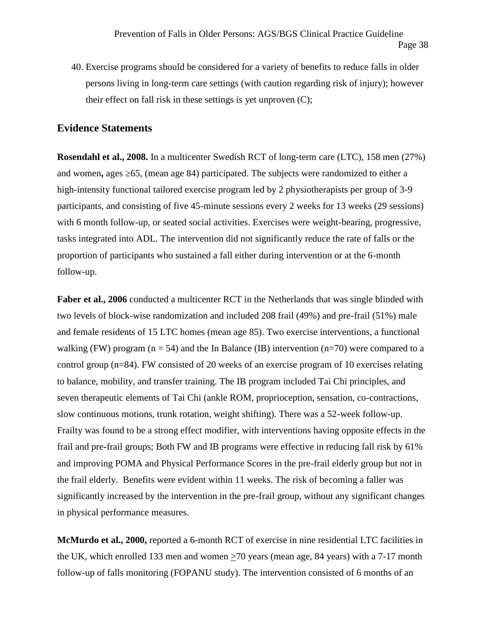40. Exercise programs should be considered for a variety of benefits to reduce falls in older persons living in long-term care settings (with caution regarding risk of injury); however their effect on fall risk in these settings is yet unproven (C);

### **Evidence Statements**

**Rosendahl et al., 2008.** In a multicenter Swedish RCT of long-term care (LTC), 158 men (27%) and women, ages 65, (mean age 84) participated. The subjects were randomized to either a high-intensity functional tailored exercise program led by 2 physiotherapists per group of 3-9 participants, and consisting of five 45-minute sessions every 2 weeks for 13 weeks (29 sessions) with 6 month follow-up, or seated social activities. Exercises were weight-bearing, progressive, tasks integrated into ADL. The intervention did not significantly reduce the rate of falls or the proportion of participants who sustained a fall either during intervention or at the 6-month follow-up.

Faber et al., 2006 conducted a multicenter RCT in the Netherlands that was single blinded with two levels of block-wise randomization and included 208 frail (49%) and pre-frail (51%) male and female residents of 15 LTC homes (mean age 85). Two exercise interventions, a functional walking (FW) program ( $n = 54$ ) and the In Balance (IB) intervention ( $n = 70$ ) were compared to a control group (n=84). FW consisted of 20 weeks of an exercise program of 10 exercises relating to balance, mobility, and transfer training. The IB program included Tai Chi principles, and seven therapeutic elements of Tai Chi (ankle ROM, proprioception, sensation, co-contractions, slow continuous motions, trunk rotation, weight shifting). There was a 52-week follow-up. Frailty was found to be a strong effect modifier, with interventions having opposite effects in the frail and pre-frail groups; Both FW and IB programs were effective in reducing fall risk by 61% and improving POMA and Physical Performance Scores in the pre-frail elderly group but not in the frail elderly. Benefits were evident within 11 weeks. The risk of becoming a faller was significantly increased by the intervention in the pre-frail group, without any significant changes in physical performance measures.

**McMurdo et al., 2000,** reported a 6-month RCT of exercise in nine residential LTC facilities in the UK, which enrolled 133 men and women >70 years (mean age, 84 years) with a 7-17 month follow-up of falls monitoring (FOPANU study). The intervention consisted of 6 months of an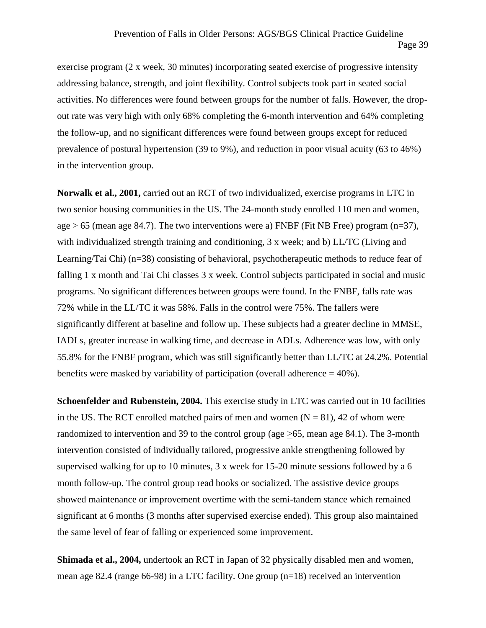exercise program (2 x week, 30 minutes) incorporating seated exercise of progressive intensity addressing balance, strength, and joint flexibility. Control subjects took part in seated social activities. No differences were found between groups for the number of falls. However, the drop out rate was very high with only 68% completing the 6-month intervention and 64% completing the follow-up, and no significant differences were found between groups except for reduced prevalence of postural hypertension (39 to 9%), and reduction in poor visual acuity (63 to 46%) in the intervention group.

**Norwalk et al., 2001,** carried out an RCT of two individualized, exercise programs in LTC in two senior housing communities in the US. The 24-month study enrolled 110 men and women, age  $> 65$  (mean age 84.7). The two interventions were a) FNBF (Fit NB Free) program (n=37), with individualized strength training and conditioning, 3 x week; and b) LL/TC (Living and Learning/Tai Chi) (n=38) consisting of behavioral, psychotherapeutic methods to reduce fear of falling 1 x month and Tai Chi classes 3 x week. Control subjects participated in social and music programs. No significant differences between groups were found. In the FNBF, falls rate was 72% while in the LL/TC it was 58%. Falls in the control were 75%. The fallers were significantly different at baseline and follow up. These subjects had a greater decline in MMSE, IADLs, greater increase in walking time, and decrease in ADLs. Adherence was low, with only 55.8% for the FNBF program, which was still significantly better than LL/TC at 24.2%. Potential benefits were masked by variability of participation (overall adherence  $= 40\%$ ).

**Schoenfelder and Rubenstein, 2004.** This exercise study in LTC was carried out in 10 facilities in the US. The RCT enrolled matched pairs of men and women  $(N = 81)$ , 42 of whom were randomized to intervention and 39 to the control group (age >65, mean age 84.1). The 3-month intervention consisted of individually tailored, progressive ankle strengthening followed by supervised walking for up to 10 minutes, 3 x week for 15-20 minute sessions followed by a 6 month follow-up. The control group read books or socialized. The assistive device groups showed maintenance or improvement overtime with the semi-tandem stance which remained significant at 6 months (3 months after supervised exercise ended). This group also maintained the same level of fear of falling or experienced some improvement.

**Shimada et al., 2004,** undertook an RCT in Japan of 32 physically disabled men and women, mean age 82.4 (range 66-98) in a LTC facility. One group (n=18) received an intervention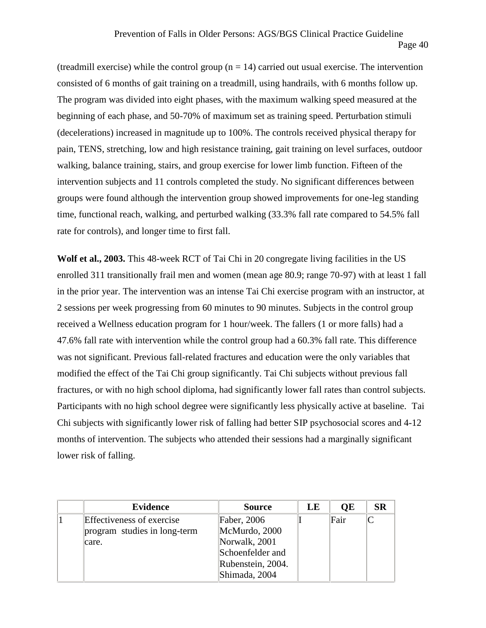(treadmill exercise) while the control group  $(n = 14)$  carried out usual exercise. The intervention consisted of 6 months of gait training on a treadmill, using handrails, with 6 months follow up. The program was divided into eight phases, with the maximum walking speed measured at the beginning of each phase, and 50-70% of maximum set as training speed. Perturbation stimuli (decelerations) increased in magnitude up to 100%. The controls received physical therapy for pain, TENS, stretching, low and high resistance training, gait training on level surfaces, outdoor walking, balance training, stairs, and group exercise for lower limb function. Fifteen of the intervention subjects and 11 controls completed the study. No significant differences between groups were found although the intervention group showed improvements for one-leg standing time, functional reach, walking, and perturbed walking (33.3% fall rate compared to 54.5% fall rate for controls), and longer time to first fall.

**Wolf et al., 2003.** This 48-week RCT of Tai Chi in 20 congregate living facilities in the US enrolled 311 transitionally frail men and women (mean age 80.9; range 70-97) with at least 1 fall in the prior year. The intervention was an intense Tai Chi exercise program with an instructor, at 2 sessions per week progressing from 60 minutes to 90 minutes. Subjects in the control group received a Wellness education program for 1 hour/week. The fallers (1 or more falls) had a 47.6% fall rate with intervention while the control group had a 60.3% fall rate. This difference was not significant. Previous fall-related fractures and education were the only variables that modified the effect of the Tai Chi group significantly. Tai Chi subjects without previous fall fractures, or with no high school diploma, had significantly lower fall rates than control subjects. Participants with no high school degree were significantly less physically active at baseline. Tai Chi subjects with significantly lower risk of falling had better SIP psychosocial scores and 4-12 months of intervention. The subjects who attended their sessions had a marginally significant lower risk of falling.

| <b>Evidence</b>              | <b>Source</b>     | LE | <b>OE</b> | <b>SR</b> |
|------------------------------|-------------------|----|-----------|-----------|
| Effectiveness of exercise    | Faber, 2006       |    | Fair      |           |
| program studies in long-term | McMurdo, 2000     |    |           |           |
| care.                        | Norwalk, 2001     |    |           |           |
|                              | Schoenfelder and  |    |           |           |
|                              | Rubenstein, 2004. |    |           |           |
|                              | Shimada, 2004     |    |           |           |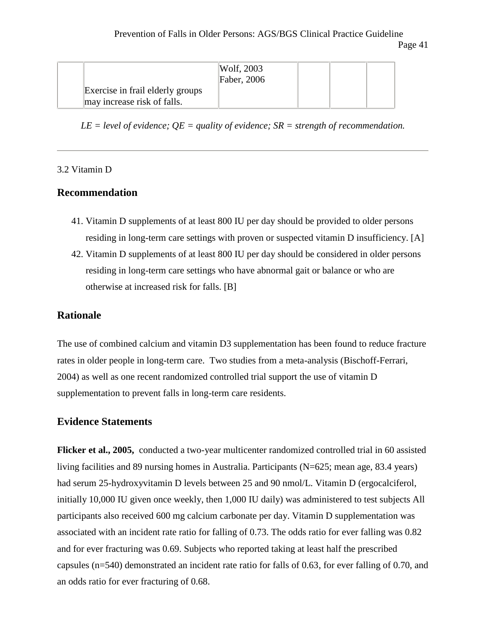|                                                                 | Wolf, 2003<br>Faber, 2006 |  |  |
|-----------------------------------------------------------------|---------------------------|--|--|
| Exercise in frail elderly groups<br>may increase risk of falls. |                           |  |  |

*LE = level of evidence; QE = quality of evidence; SR = strength of recommendation.*

### 3.2 Vitamin D

### **Recommendation**

- 41. Vitamin D supplements of at least 800 IU per day should be provided to older persons residing in long-term care settings with proven or suspected vitamin D insufficiency. [A]
- 42. Vitamin D supplements of at least 800 IU per day should be considered in older persons residing in long-term care settings who have abnormal gait or balance or who are otherwise at increased risk for falls. [B]

### **Rationale**

The use of combined calcium and vitamin D3 supplementation has been found to reduce fracture rates in older people in long-term care. Two studies from a meta-analysis (Bischoff-Ferrari, 2004) as well as one recent randomized controlled trial support the use of vitamin D supplementation to prevent falls in long-term care residents.

### **Evidence Statements**

**Flicker et al., 2005,** conducted a two-year multicenter randomized controlled trial in 60 assisted living facilities and 89 nursing homes in Australia. Participants (N=625; mean age, 83.4 years) had serum 25-hydroxyvitamin D levels between 25 and 90 nmol/L. Vitamin D (ergocalciferol, initially 10,000 IU given once weekly, then 1,000 IU daily) was administered to test subjects All participants also received 600 mg calcium carbonate per day. Vitamin D supplementation was associated with an incident rate ratio for falling of 0.73. The odds ratio for ever falling was 0.82 and for ever fracturing was 0.69. Subjects who reported taking at least half the prescribed capsules (n=540) demonstrated an incident rate ratio for falls of 0.63, for ever falling of 0.70, and an odds ratio for ever fracturing of 0.68.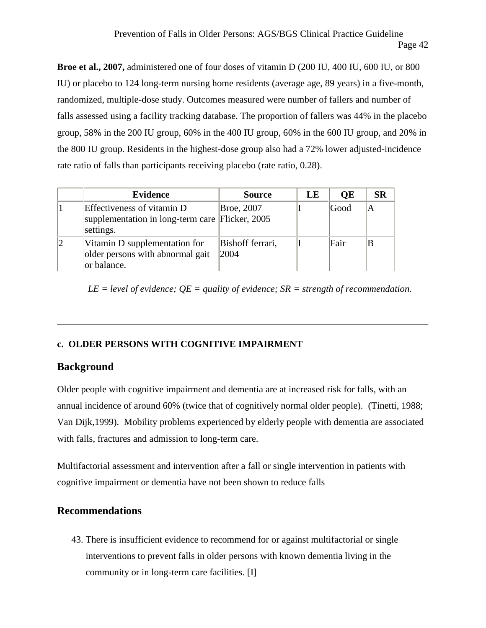**Broe et al., 2007,** administered one of four doses of vitamin D (200 IU, 400 IU, 600 IU, or 800 IU) or placebo to 124 long-term nursing home residents (average age, 89 years) in a five-month, randomized, multiple-dose study. Outcomes measured were number of fallers and number of falls assessed using a facility tracking database. The proportion of fallers was 44% in the placebo group, 58% in the 200 IU group, 60% in the 400 IU group, 60% in the 600 IU group, and 20% in the 800 IU group. Residents in the highest-dose group also had a 72% lower adjusted-incidence rate ratio of falls than participants receiving placebo (rate ratio, 0.28).

|             | <b>Evidence</b>                                                                            | <b>Source</b>             | LE | <b>OE</b> | <b>SR</b> |
|-------------|--------------------------------------------------------------------------------------------|---------------------------|----|-----------|-----------|
|             | Effectiveness of vitamin D<br>supplementation in long-term care Flicker, 2005<br>settings. | Broe, 2007                |    | Good      | ΙA        |
| $ 2\rangle$ | Vitamin D supplementation for<br>older persons with abnormal gait<br>or balance.           | Bishoff ferrari,<br> 2004 |    | Fair      |           |

*LE = level of evidence; QE = quality of evidence; SR = strength of recommendation.*

### **c. OLDER PERSONS WITH COGNITIVE IMPAIRMENT**

### **Background**

Older people with cognitive impairment and dementia are at increased risk for falls, with an annual incidence of around 60% (twice that of cognitively normal older people). (Tinetti, 1988; Van Dijk,1999). Mobility problems experienced by elderly people with dementia are associated with falls, fractures and admission to long-term care.

Multifactorial assessment and intervention after a fall or single intervention in patients with cognitive impairment or dementia have not been shown to reduce falls

### **Recommendations**

43. There is insufficient evidence to recommend for or against multifactorial or single interventions to prevent falls in older persons with known dementia living in the community or in long-term care facilities. [I]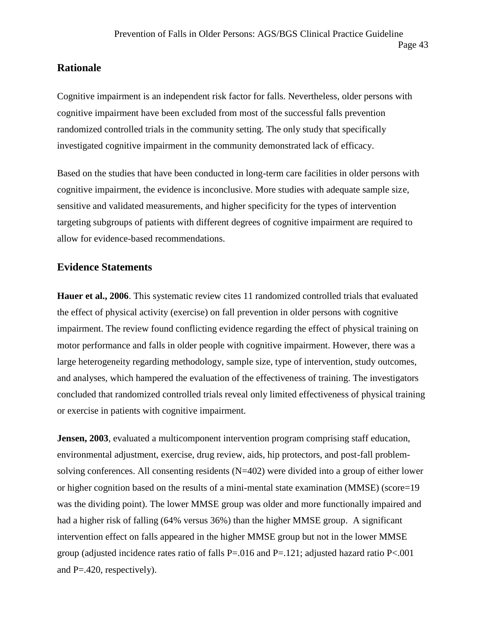### **Rationale**

Cognitive impairment is an independent risk factor for falls. Nevertheless, older persons with cognitive impairment have been excluded from most of the successful falls prevention randomized controlled trials in the community setting. The only study that specifically investigated cognitive impairment in the community demonstrated lack of efficacy.

Based on the studies that have been conducted in long-term care facilities in older persons with cognitive impairment, the evidence is inconclusive. More studies with adequate sample size, sensitive and validated measurements, and higher specificity for the types of intervention targeting subgroups of patients with different degrees of cognitive impairment are required to allow for evidence-based recommendations.

### **Evidence Statements**

**Hauer et al., 2006**. This systematic review cites 11 randomized controlled trials that evaluated the effect of physical activity (exercise) on fall prevention in older persons with cognitive impairment. The review found conflicting evidence regarding the effect of physical training on motor performance and falls in older people with cognitive impairment. However, there was a large heterogeneity regarding methodology, sample size, type of intervention, study outcomes, and analyses, which hampered the evaluation of the effectiveness of training. The investigators concluded that randomized controlled trials reveal only limited effectiveness of physical training or exercise in patients with cognitive impairment.

**Jensen, 2003**, evaluated a multicomponent intervention program comprising staff education, environmental adjustment, exercise, drug review, aids, hip protectors, and post-fall problem solving conferences. All consenting residents (N=402) were divided into a group of either lower or higher cognition based on the results of a mini-mental state examination (MMSE) (score=19 was the dividing point). The lower MMSE group was older and more functionally impaired and had a higher risk of falling (64% versus 36%) than the higher MMSE group. A significant intervention effect on falls appeared in the higher MMSE group but not in the lower MMSE group (adjusted incidence rates ratio of falls P=.016 and P=.121; adjusted hazard ratio P<.001 and P=.420, respectively).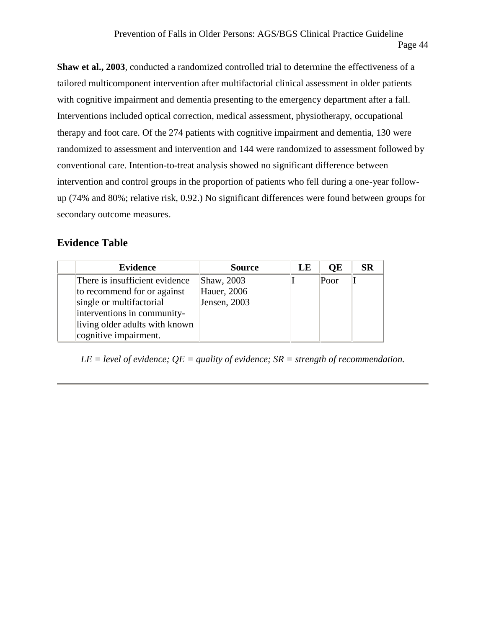**Shaw et al., 2003**, conducted a randomized controlled trial to determine the effectiveness of a tailored multicomponent intervention after multifactorial clinical assessment in older patients with cognitive impairment and dementia presenting to the emergency department after a fall. Interventions included optical correction, medical assessment, physiotherapy, occupational therapy and foot care. Of the 274 patients with cognitive impairment and dementia, 130 were randomized to assessment and intervention and 144 were randomized to assessment followed by conventional care. Intention-to-treat analysis showed no significant difference between intervention and control groups in the proportion of patients who fell during a one-year follow up (74% and 80%; relative risk, 0.92.) No significant differences were found between groups for secondary outcome measures.

### **Evidence Table**

| <b>Evidence</b>                | <b>Source</b> | LE | <b>OE</b> | <b>SR</b> |
|--------------------------------|---------------|----|-----------|-----------|
| There is insufficient evidence | Shaw, 2003    |    | Poor      |           |
| to recommend for or against    | Hauer, 2006   |    |           |           |
| single or multifactorial       | Jensen, 2003  |    |           |           |
| interventions in community-    |               |    |           |           |
| living older adults with known |               |    |           |           |
| cognitive impairment.          |               |    |           |           |

*LE = level of evidence; QE = quality of evidence; SR = strength of recommendation.*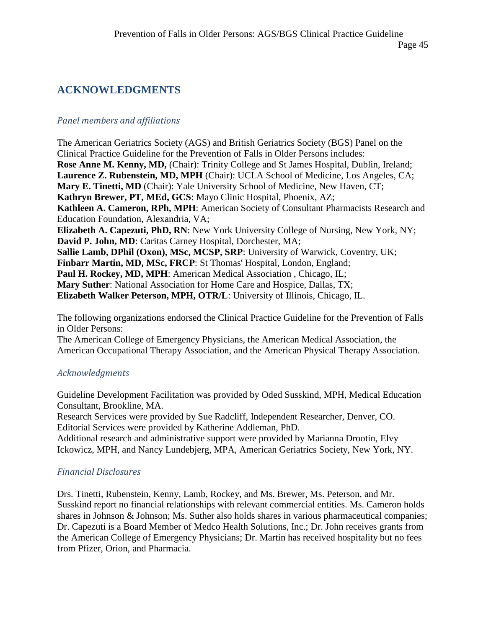#### Page 45

## **ACKNOWLEDGMENTS**

### *Panel members and affiliations*

The American Geriatrics Society (AGS) and British Geriatrics Society (BGS) Panel on the Clinical Practice Guideline for the Prevention of Falls in Older Persons includes: **Rose Anne M. Kenny, MD,** (Chair): Trinity College and St James Hospital, Dublin, Ireland; **Laurence Z. Rubenstein, MD, MPH** (Chair): UCLA School of Medicine, Los Angeles, CA; **Mary E. Tinetti, MD** (Chair): Yale University School of Medicine, New Haven, CT; **Kathryn Brewer, PT, MEd, GCS**: Mayo Clinic Hospital, Phoenix, AZ; **Kathleen A. Cameron, RPh, MPH**: American Society of Consultant Pharmacists Research and Education Foundation, Alexandria, VA; **Elizabeth A. Capezuti, PhD, RN**: New York University College of Nursing, New York, NY; **David P. John, MD**: Caritas Carney Hospital, Dorchester, MA; **Sallie Lamb, DPhil (Oxon), MSc, MCSP, SRP**: University of Warwick, Coventry, UK; **Finbarr Martin, MD, MSc, FRCP**: St Thomas' Hospital, London, England; Paul H. Rockey, MD, MPH: American Medical Association, Chicago, IL; **Mary Suther**: National Association for Home Care and Hospice, Dallas, TX; **Elizabeth Walker Peterson, MPH, OTR/L**: University of Illinois, Chicago, IL.

The following organizations endorsed the Clinical Practice Guideline for the Prevention of Falls in Older Persons:

The American College of Emergency Physicians, the American Medical Association, the American Occupational Therapy Association, and the American Physical Therapy Association.

### *Acknowledgments*

Guideline Development Facilitation was provided by Oded Susskind, MPH, Medical Education Consultant, Brookline, MA.

Research Services were provided by Sue Radcliff, Independent Researcher, Denver, CO. Editorial Services were provided by Katherine Addleman, PhD.

Additional research and administrative support were provided by Marianna Drootin, Elvy Ickowicz, MPH, and Nancy Lundebjerg, MPA, American Geriatrics Society, New York, NY.

### *Financial Disclosures*

Drs. Tinetti, Rubenstein, Kenny, Lamb, Rockey, and Ms. Brewer, Ms. Peterson, and Mr. Susskind report no financial relationships with relevant commercial entities. Ms. Cameron holds shares in Johnson & Johnson; Ms. Suther also holds shares in various pharmaceutical companies; Dr. Capezuti is a Board Member of Medco Health Solutions, Inc.; Dr. John receives grants from the American College of Emergency Physicians; Dr. Martin has received hospitality but no fees from Pfizer, Orion, and Pharmacia.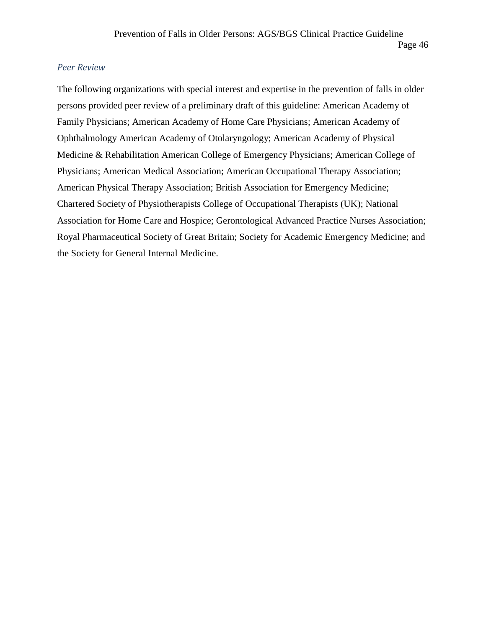### *Peer Review*

The following organizations with special interest and expertise in the prevention of falls in older persons provided peer review of a preliminary draft of this guideline: American Academy of Family Physicians; American Academy of Home Care Physicians; American Academy of Ophthalmology American Academy of Otolaryngology; American Academy of Physical Medicine & Rehabilitation American College of Emergency Physicians; American College of Physicians; American Medical Association; American Occupational Therapy Association; American Physical Therapy Association; British Association for Emergency Medicine; Chartered Society of Physiotherapists College of Occupational Therapists (UK); National Association for Home Care and Hospice; Gerontological Advanced Practice Nurses Association; Royal Pharmaceutical Society of Great Britain; Society for Academic Emergency Medicine; and the Society for General Internal Medicine.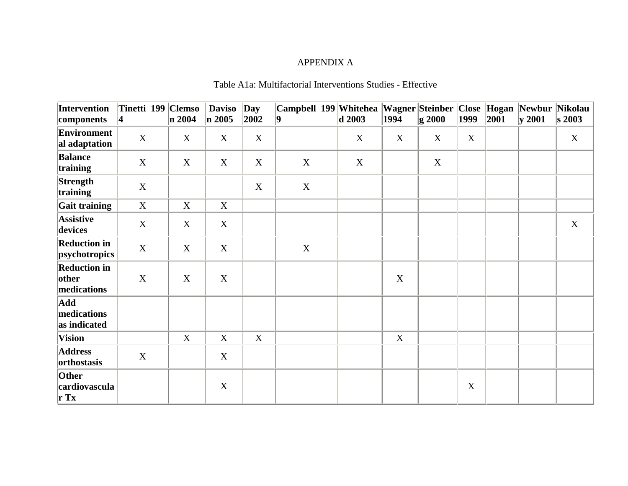### APPENDIX A

### Table A1a: Multifactorial Interventions Studies - Effective

| Intervention<br>components                  | $\vert 4 \vert$           | Tinetti 199 Clemso<br>$\ln 2004$ | <b>Daviso</b><br>$\ln 2005$ | Day<br>2002 | Campbell 199 Whitehea<br>9 | $\boldsymbol{d}$ 2003 | 1994        | Wagner Steinber<br>$\vert$ g 2000 | 1999        | 2001 | Close Hogan Newbur Nikolau<br>$\vert$ y 2001 | $\vert$ s 2003 |
|---------------------------------------------|---------------------------|----------------------------------|-----------------------------|-------------|----------------------------|-----------------------|-------------|-----------------------------------|-------------|------|----------------------------------------------|----------------|
| Environment<br>al adaptation                | $\boldsymbol{\mathrm{X}}$ | X                                | X                           | $\mathbf X$ |                            | X                     | X           | X                                 | $\mathbf X$ |      |                                              | X              |
| <b>Balance</b><br>training                  | $\boldsymbol{\mathrm{X}}$ | X                                | X                           | $\mathbf X$ | $\mathbf X$                | $\mathbf X$           |             | $\mathbf X$                       |             |      |                                              |                |
| Strength<br>training                        | $\mathbf X$               |                                  |                             | X           | X                          |                       |             |                                   |             |      |                                              |                |
| Gait training                               | $\mathbf X$               | $\mathbf X$                      | $\mathbf X$                 |             |                            |                       |             |                                   |             |      |                                              |                |
| <b>Assistive</b><br>devices                 | $\boldsymbol{\mathrm{X}}$ | $\mathbf X$                      | $\mathbf X$                 |             |                            |                       |             |                                   |             |      |                                              | $\mathbf X$    |
| <b>Reduction in</b><br>psychotropics        | $\mathbf X$               | $\mathbf X$                      | $\mathbf X$                 |             | $\mathbf X$                |                       |             |                                   |             |      |                                              |                |
| <b>Reduction in</b><br>other<br>medications | $\mathbf X$               | $\boldsymbol{X}$                 | X                           |             |                            |                       | X           |                                   |             |      |                                              |                |
| Add<br>medications<br>as indicated          |                           |                                  |                             |             |                            |                       |             |                                   |             |      |                                              |                |
| Vision                                      |                           | $\mathbf X$                      | $\mathbf X$                 | X           |                            |                       | $\mathbf X$ |                                   |             |      |                                              |                |
| <b>Address</b><br>orthostasis               | $\mathbf X$               |                                  | $\mathbf X$                 |             |                            |                       |             |                                   |             |      |                                              |                |
| Other<br>cardiovascula<br>$\mathbf{r}$ Tx   |                           |                                  | $\mathbf X$                 |             |                            |                       |             |                                   | $\mathbf X$ |      |                                              |                |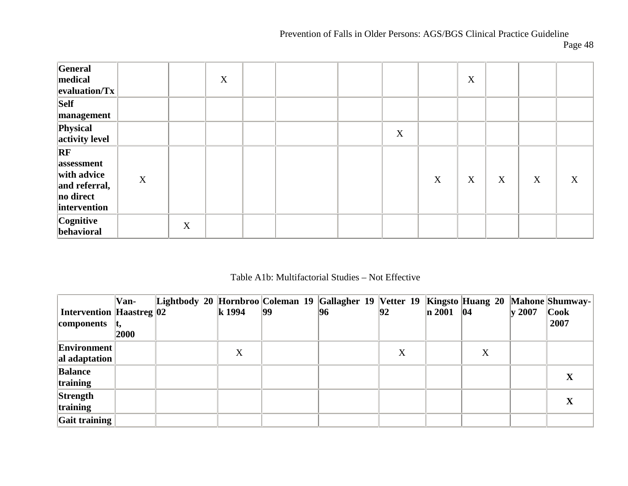# Prevention of Falls in Older Persons: AGS/BGS Clinical Practice Guideline

| General<br>medical<br>$\vert$ evaluation/Tx $\vert$                                                 |             |             | X |  |   |   | $\mathbf X$ |   |   |   |
|-----------------------------------------------------------------------------------------------------|-------------|-------------|---|--|---|---|-------------|---|---|---|
| <b>Self</b><br>management                                                                           |             |             |   |  |   |   |             |   |   |   |
| Physical<br>activity level                                                                          |             |             |   |  | X |   |             |   |   |   |
| $\overline{\mathbf{RF}}$<br>assessment<br>with advice<br>and referral,<br>no direct<br>intervention | $\mathbf X$ |             |   |  |   | X | $\mathbf X$ | X | X | X |
| Cognitive<br>behavioral                                                                             |             | $\mathbf X$ |   |  |   |   |             |   |   |   |

### Table A1b: Multifactorial Studies – Not Effective

|                                 | Van- |  |        |              | Lightbody 20 Hornbroo Coleman 19 Gallagher 19 Vetter 19 Kingsto Huang 20 Mahone Shumway- |    |               |   |                   |                    |
|---------------------------------|------|--|--------|--------------|------------------------------------------------------------------------------------------|----|---------------|---|-------------------|--------------------|
| <b>Intervention Haastreg 02</b> |      |  | k 1994 | $ 99\rangle$ | 96                                                                                       | 92 | $\ln 2001$ 04 |   | $\mathbf{v}$ 2007 | $  \mathbf{C}$ ook |
| components                      |      |  |        |              |                                                                                          |    |               |   |                   | 2007               |
|                                 | 2000 |  |        |              |                                                                                          |    |               |   |                   |                    |
| Environment                     |      |  | X      |              |                                                                                          | X  |               | X |                   |                    |
| al adaptation                   |      |  |        |              |                                                                                          |    |               |   |                   |                    |
| <b>Balance</b>                  |      |  |        |              |                                                                                          |    |               |   |                   | $\mathbf X$        |
| training                        |      |  |        |              |                                                                                          |    |               |   |                   |                    |
| Strength                        |      |  |        |              |                                                                                          |    |               |   |                   |                    |
| training                        |      |  |        |              |                                                                                          |    |               |   |                   | $\mathbf X$        |
| $\vert$ Gait training $\vert$   |      |  |        |              |                                                                                          |    |               |   |                   |                    |

Page 48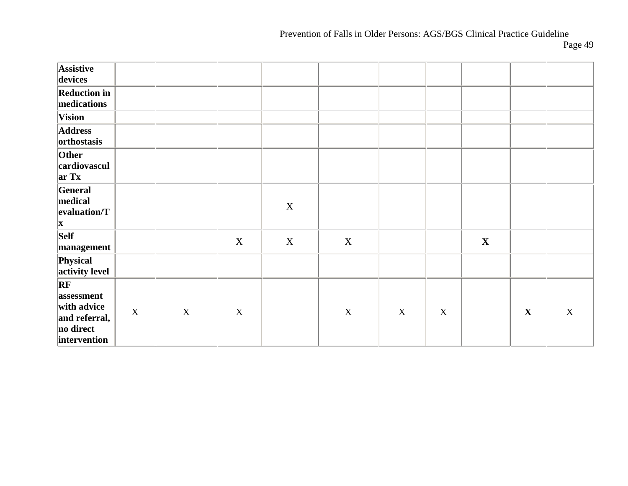# Prevention of Falls in Older Persons: AGS/BGS Clinical Practice Guideline

Page 49

| <b>Assistive</b><br>devices                                                                         |             |             |             |             |             |             |             |             |             |             |
|-----------------------------------------------------------------------------------------------------|-------------|-------------|-------------|-------------|-------------|-------------|-------------|-------------|-------------|-------------|
| <b>Reduction in</b><br>medications                                                                  |             |             |             |             |             |             |             |             |             |             |
| Vision                                                                                              |             |             |             |             |             |             |             |             |             |             |
| <b>Address</b><br>orthostasis                                                                       |             |             |             |             |             |             |             |             |             |             |
| Other<br>cardiovascul<br>$\vert \mathbf{ar} \mathbf{T} \mathbf{x} \vert$                            |             |             |             |             |             |             |             |             |             |             |
| General<br>medical<br>evaluation/T<br>$\mathbf{x}$                                                  |             |             |             | $\mathbf X$ |             |             |             |             |             |             |
| Self<br>management                                                                                  |             |             | X           | $\mathbf X$ | $\mathbf X$ |             |             | $\mathbf X$ |             |             |
| Physical<br>activity level                                                                          |             |             |             |             |             |             |             |             |             |             |
| $\overline{\mathbf{RF}}$<br>assessment<br>with advice<br>and referral,<br>no direct<br>intervention | $\mathbf X$ | $\mathbf X$ | $\mathbf X$ |             | $\mathbf X$ | $\mathbf X$ | $\mathbf X$ |             | $\mathbf X$ | $\mathbf X$ |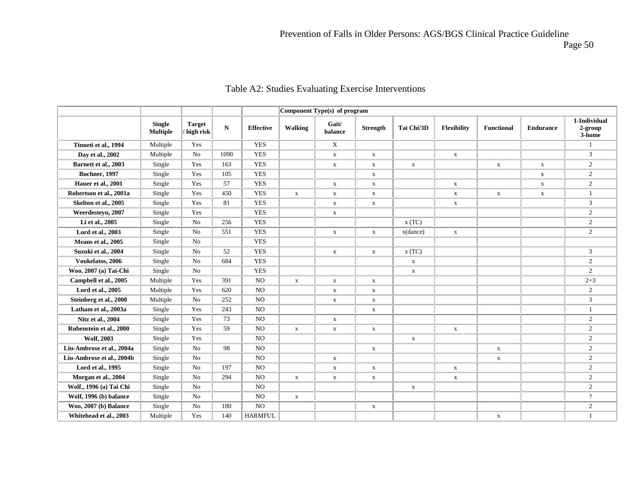Page 50

|                           |                                  |                            |           |                  |             | Component Type(s) of program |                 |              |              |                   |                  |                                      |
|---------------------------|----------------------------------|----------------------------|-----------|------------------|-------------|------------------------------|-----------------|--------------|--------------|-------------------|------------------|--------------------------------------|
|                           | <b>Single</b><br><b>Multiple</b> | <b>Target</b><br>high risk | ${\bf N}$ | <b>Effective</b> | Walking     | Gait/<br>balance             | <b>Strength</b> | Tai Chi/3D   | Flexibility  | <b>Functional</b> | <b>Endurance</b> | 1-Individual<br>$2$ -group<br>3-home |
| Tinneti et al., 1994      | Multiple                         | Yes                        |           | <b>YES</b>       |             | $\mathbf X$                  |                 |              |              |                   |                  |                                      |
| Day et al., 2002          | Multiple                         | No                         | 1090      | <b>YES</b>       |             | $\mathbf X$                  | $\mathbf X$     |              | $\mathbf{x}$ |                   |                  | 3                                    |
| Barnett et al., 2003      | Single                           | Yes                        | 163       | <b>YES</b>       |             | $\mathbf{X}$                 | $\mathbf X$     | $\mathbf X$  |              | $\mathbf{X}$      | $\mathbf X$      | $\overline{2}$                       |
| <b>Buchner</b> , 1997     | Single                           | Yes                        | 105       | <b>YES</b>       |             |                              | $\mathbf X$     |              |              |                   | $\mathbf X$      | $\overline{2}$                       |
| Hauer et al., 2001        | Single                           | Yes                        | 57        | <b>YES</b>       |             | $\mathbf X$                  | $\mathbf X$     |              | $\mathbf{x}$ |                   | $\mathbf X$      | $\overline{2}$                       |
| Robertson et al., 2001a   | Single                           | Yes                        | 450       | <b>YES</b>       | $\mathbf X$ | $\mathbf X$                  | $\mathbf X$     |              | $\mathbf X$  | $\mathbf X$       | $\mathbf X$      | $\mathbf{1}$                         |
| Skelton et al., 2005      | Single                           | Yes                        | 81        | <b>YES</b>       |             | $\mathbf X$                  | $\mathbf X$     |              | $\mathbf X$  |                   |                  | 3                                    |
| Weerdestevn, 2007         | Single                           | Yes                        |           | <b>YES</b>       |             | $\mathbf X$                  |                 |              |              |                   |                  | $\overline{2}$                       |
| Li et al., 2005           | Single                           | No                         | 256       | <b>YES</b>       |             |                              |                 | x(TC)        |              |                   |                  | $\overline{2}$                       |
| Lord et al., 2003         | Single                           | No                         | 551       | <b>YES</b>       |             | $\mathbf X$                  | $\mathbf X$     | x(dance)     | $\mathbf X$  |                   |                  | $\overline{2}$                       |
| Means et al., 2005        | Single                           | No                         |           | <b>YES</b>       |             |                              |                 |              |              |                   |                  |                                      |
| Suzuki et al., 2004       | Single                           | No                         | 52        | <b>YES</b>       |             | $\mathbf{x}$                 | $\mathbf X$     | x(TC)        |              |                   |                  | $\mathfrak{Z}$                       |
| Voukelatos, 2006          | Single                           | No                         | 684       | <b>YES</b>       |             |                              |                 | $\mathbf X$  |              |                   |                  | $\overline{2}$                       |
| Woo, 2007 (a) Tai-Chi     | Single                           | No                         |           | <b>YES</b>       |             |                              |                 | $\mathbf{X}$ |              |                   |                  | $\overline{2}$                       |
| Campbell et al., 2005     | Multiple                         | Yes                        | 391       | <b>NO</b>        | $\mathbf X$ | $\mathbf X$                  | $\mathbf X$     |              |              |                   |                  | $2 + 3$                              |
| Lord et al., 2005         | Multiple                         | Yes                        | 620       | NO               |             | $\mathbf X$                  | $\mathbf X$     |              |              |                   |                  | $\overline{2}$                       |
| Steinberg et al., 2000    | Multiple                         | No                         | 252       | <b>NO</b>        |             | $\mathbf X$                  | $\mathbf X$     |              |              |                   |                  | 3                                    |
| Latham et al., 2003a      | Single                           | Yes                        | 243       | NO               |             |                              | $\mathbf X$     |              |              |                   |                  | 1                                    |
| Nitz et al., 2004         | Single                           | Yes                        | 73        | NO.              |             | $\mathbf x$                  |                 |              |              |                   |                  | $\overline{2}$                       |
| Rubenstein et al., 2000   | Single                           | Yes                        | 59        | NO               | $\mathbf X$ | $\mathbf X$                  | $\mathbf X$     |              | $\mathbf X$  |                   |                  | $\overline{2}$                       |
| <b>Wolf, 2003</b>         | Single                           | Yes                        |           | NO               |             |                              |                 | $\mathbf X$  |              |                   |                  | 2                                    |
| Liu-Ambrose et al., 2004a | Single                           | No                         | 98        | <b>NO</b>        |             |                              | $\mathbf X$     |              |              | $\mathbf{X}$      |                  | $\overline{2}$                       |
| Liu-Ambrose et al., 2004b | Single                           | No                         |           | NO               |             | $\mathbf X$                  |                 |              |              | $\mathbf X$       |                  | $\overline{2}$                       |
| Lord et al., 1995         | Single                           | No                         | 197       | <b>NO</b>        |             | $\mathbf X$                  | $\mathbf X$     |              | $\mathbf X$  |                   |                  | $\overline{2}$                       |
| Morgan et al., 2004       | Single                           | No                         | 294       | NO               | $\mathbf X$ | $\mathbf X$                  | $\mathbf X$     |              | $\mathbf X$  |                   |                  | $\overline{2}$                       |
| Wolf., 1996 (a) Tai Chi   | Single                           | No                         |           | NO.              |             |                              |                 | $\mathbf{x}$ |              |                   |                  | $\overline{2}$                       |
| Wolf, 1996 (b) balance    | Single                           | No                         |           | $_{\rm NO}$      | $\mathbf X$ |                              |                 |              |              |                   |                  | $\overline{?}$                       |
| Woo, 2007 (b) Balance     | Single                           | No                         | 180       | NO.              |             |                              | $\mathbf X$     |              |              |                   |                  | $\overline{2}$                       |
| Whitehead et al., 2003    | Multiple                         | Yes                        | 140       | <b>HARMFUL</b>   |             |                              |                 |              |              | $\mathbf X$       |                  | 1                                    |

### Table A2: Studies Evaluating Exercise Interventions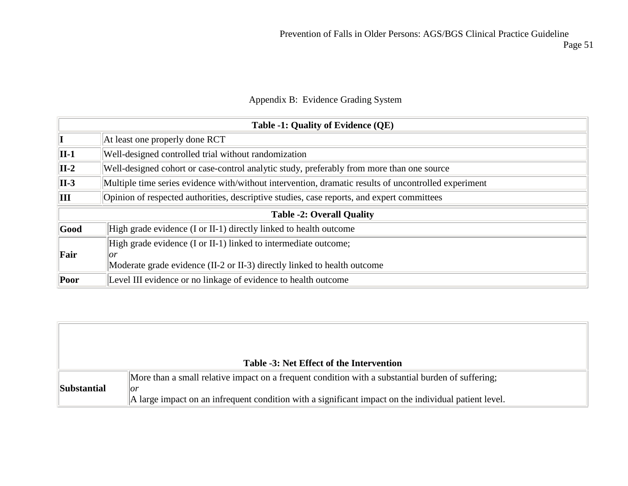Page 51

### Appendix B: Evidence Grading System

|                             | Table -1: Quality of Evidence (QE)                                                                   |  |  |  |  |  |  |  |
|-----------------------------|------------------------------------------------------------------------------------------------------|--|--|--|--|--|--|--|
| $ \mathbf{I} $              | At least one properly done RCT                                                                       |  |  |  |  |  |  |  |
| $\ $ II-1                   | Well-designed controlled trial without randomization                                                 |  |  |  |  |  |  |  |
| $\vert$ II-2                | Well-designed cohort or case-control analytic study, preferably from more than one source            |  |  |  |  |  |  |  |
| $\vert$ II-3                | Multiple time series evidence with/without intervention, dramatic results of uncontrolled experiment |  |  |  |  |  |  |  |
| $\mathbf{\Vert} \mathbf{H}$ | Opinion of respected authorities, descriptive studies, case reports, and expert committees           |  |  |  |  |  |  |  |
|                             | <b>Table -2: Overall Quality</b>                                                                     |  |  |  |  |  |  |  |
| Good                        | High grade evidence (I or II-1) directly linked to health outcome                                    |  |  |  |  |  |  |  |
|                             | High grade evidence (I or II-1) linked to intermediate outcome;                                      |  |  |  |  |  |  |  |
| Fair                        | or                                                                                                   |  |  |  |  |  |  |  |
|                             | Moderate grade evidence (II-2 or II-3) directly linked to health outcome                             |  |  |  |  |  |  |  |
| Poor                        | Level III evidence or no linkage of evidence to health outcome                                       |  |  |  |  |  |  |  |

|                    | Table -3: Net Effect of the Intervention                                                                               |
|--------------------|------------------------------------------------------------------------------------------------------------------------|
|                    | More than a small relative impact on a frequent condition with a substantial burden of suffering;                      |
| <b>Substantial</b> | or<br>$\parallel$ A large impact on an infrequent condition with a significant impact on the individual patient level. |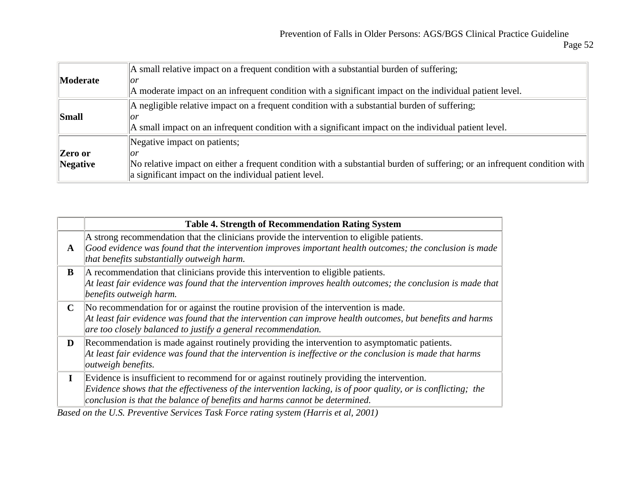|                 | A small relative impact on a frequent condition with a substantial burden of suffering;                                   |
|-----------------|---------------------------------------------------------------------------------------------------------------------------|
| <b>Moderate</b> | or                                                                                                                        |
|                 | A moderate impact on an infrequent condition with a significant impact on the individual patient level.                   |
|                 | A negligible relative impact on a frequent condition with a substantial burden of suffering;                              |
| Small           | or                                                                                                                        |
|                 | A small impact on an infrequent condition with a significant impact on the individual patient level.                      |
|                 | Negative impact on patients;                                                                                              |
| Zero or         | or                                                                                                                        |
| $\ $ Negative   | No relative impact on either a frequent condition with a substantial burden of suffering; or an infrequent condition with |
|                 | a significant impact on the individual patient level.                                                                     |

|             | <b>Table 4. Strength of Recommendation Rating System</b>                                                                                                                                                                                                                                                                                                                         |
|-------------|----------------------------------------------------------------------------------------------------------------------------------------------------------------------------------------------------------------------------------------------------------------------------------------------------------------------------------------------------------------------------------|
| A           | A strong recommendation that the clinicians provide the intervention to eligible patients.<br>Good evidence was found that the intervention improves important health outcomes; the conclusion is made<br>that benefits substantially outweigh harm.                                                                                                                             |
| B           | A recommendation that clinicians provide this intervention to eligible patients.<br>$\vert$ At least fair evidence was found that the intervention improves health outcomes; the conclusion is made that<br>benefits outweigh harm.                                                                                                                                              |
| $\mathbf C$ | No recommendation for or against the routine provision of the intervention is made.<br>$\vert$ At least fair evidence was found that the intervention can improve health outcomes, but benefits and harms<br>are too closely balanced to justify a general recommendation.                                                                                                       |
| D           | Recommendation is made against routinely providing the intervention to asymptomatic patients.<br>$\vert$ At least fair evidence was found that the intervention is ineffective or the conclusion is made that harms<br><i>outweigh benefits.</i>                                                                                                                                 |
| $\bf{I}$    | Evidence is insufficient to recommend for or against routinely providing the intervention.<br>Evidence shows that the effectiveness of the intervention lacking, is of poor quality, or is conflicting; the<br>conclusion is that the balance of benefits and harms cannot be determined.<br>Rased on the U.S. Preventive Services Task Force rating system (Harris et al. 2001) |

*Based on the U.S. Preventive Services Task Force rating system (Harris et al, 2001)*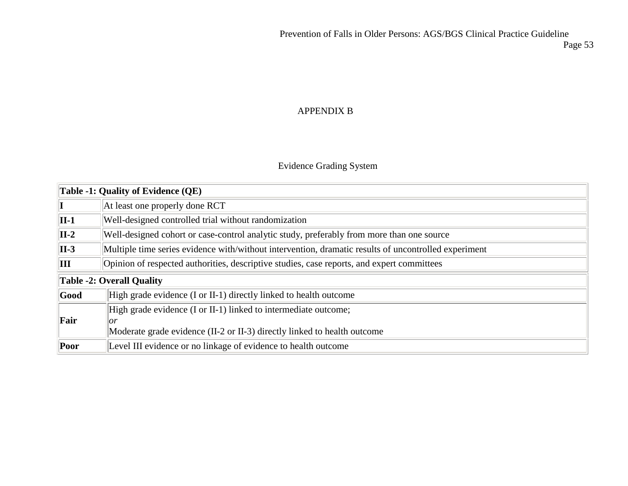### APPENDIX B

### Evidence Grading System

| Table -1: Quality of Evidence $(QE)$ |                                                                                                      |  |
|--------------------------------------|------------------------------------------------------------------------------------------------------|--|
|                                      | At least one properly done RCT                                                                       |  |
| $\ $ II-1                            | Well-designed controlled trial without randomization                                                 |  |
| $\vert$ II-2                         | Well-designed cohort or case-control analytic study, preferably from more than one source            |  |
| $\vert$ II-3                         | Multiple time series evidence with/without intervention, dramatic results of uncontrolled experiment |  |
| $\ III\ $                            | Opinion of respected authorities, descriptive studies, case reports, and expert committees           |  |
| Table -2: Overall Quality            |                                                                                                      |  |
| $ $ Good                             | High grade evidence (I or II-1) directly linked to health outcome                                    |  |
|                                      | High grade evidence (I or II-1) linked to intermediate outcome;                                      |  |
| Fair                                 | or                                                                                                   |  |
|                                      | Moderate grade evidence (II-2 or II-3) directly linked to health outcome                             |  |
| $\ $ Poor                            | Level III evidence or no linkage of evidence to health outcome                                       |  |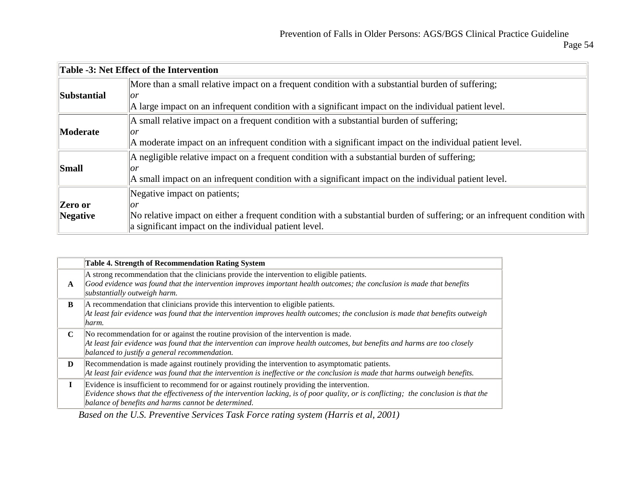|                  | Table -3: Net Effect of the Intervention                                                                                  |
|------------------|---------------------------------------------------------------------------------------------------------------------------|
|                  | More than a small relative impact on a frequent condition with a substantial burden of suffering;                         |
| Substantial      | or                                                                                                                        |
|                  | A large impact on an infrequent condition with a significant impact on the individual patient level.                      |
|                  | A small relative impact on a frequent condition with a substantial burden of suffering;                                   |
| <b>Moderate</b>  | or                                                                                                                        |
|                  | A moderate impact on an infrequent condition with a significant impact on the individual patient level.                   |
|                  | A negligible relative impact on a frequent condition with a substantial burden of suffering;                              |
| <b>Small</b>     | or                                                                                                                        |
|                  | A small impact on an infrequent condition with a significant impact on the individual patient level.                      |
|                  | Negative impact on patients;                                                                                              |
| <b>Zero or</b>   | or                                                                                                                        |
| $\vert$ Negative | No relative impact on either a frequent condition with a substantial burden of suffering; or an infrequent condition with |
|                  | a significant impact on the individual patient level.                                                                     |

|             | <b>Table 4. Strength of Recommendation Rating System</b>                                                                                                                                                                                                                                  |
|-------------|-------------------------------------------------------------------------------------------------------------------------------------------------------------------------------------------------------------------------------------------------------------------------------------------|
| A           | A strong recommendation that the clinicians provide the intervention to eligible patients.<br>Good evidence was found that the intervention improves important health outcomes; the conclusion is made that benefits<br>substantially outweigh harm.                                      |
| B           | A recommendation that clinicians provide this intervention to eligible patients.<br>At least fair evidence was found that the intervention improves health outcomes; the conclusion is made that benefits outweigh<br>harm.                                                               |
| $\mathbf C$ | No recommendation for or against the routine provision of the intervention is made.<br>At least fair evidence was found that the intervention can improve health outcomes, but benefits and harms are too closely<br>balanced to justify a general recommendation.                        |
| D           | Recommendation is made against routinely providing the intervention to asymptomatic patients.<br>At least fair evidence was found that the intervention is ineffective or the conclusion is made that harms outweigh benefits.                                                            |
| L           | Evidence is insufficient to recommend for or against routinely providing the intervention.<br>Evidence shows that the effectiveness of the intervention lacking, is of poor quality, or is conflicting; the conclusion is that the<br>balance of benefits and harms cannot be determined. |

*Based on the U.S. Preventive Services Task Force rating system (Harris et al, 2001)*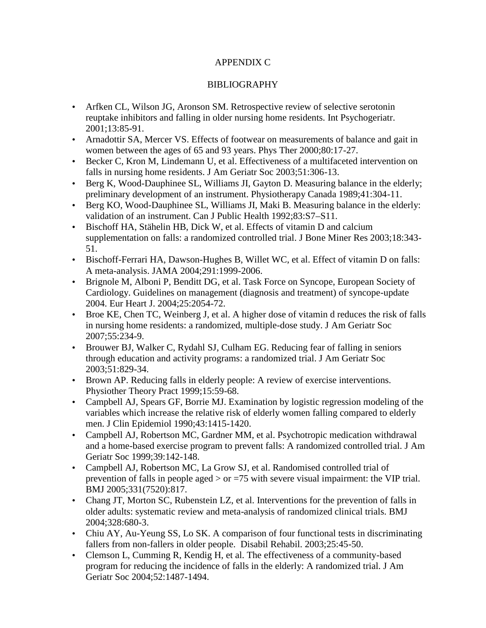### APPENDIX C

### BIBLIOGRAPHY

- Arfken CL, Wilson JG, Aronson SM. Retrospective review of selective serotonin reuptake inhibitors and falling in older nursing home residents. Int Psychogeriatr. 2001;13:85-91.
- Arnadottir SA, Mercer VS. Effects of footwear on measurements of balance and gait in women between the ages of 65 and 93 years. Phys Ther 2000;80:17-27.
- Becker C, Kron M, Lindemann U, et al. Effectiveness of a multifaceted intervention on falls in nursing home residents. J Am Geriatr Soc 2003;51:306-13.
- Berg K, Wood-Dauphinee SL, Williams JI, Gayton D. Measuring balance in the elderly; preliminary development of an instrument. Physiotherapy Canada 1989;41:304-11.
- Berg KO, Wood-Dauphinee SL, Williams JI, Maki B. Measuring balance in the elderly: validation of an instrument. Can J Public Health 1992;83:S7–S11.
- Bischoff HA, Stähelin HB, Dick W, et al. Effects of vitamin D and calcium supplementation on falls: a randomized controlled trial. J Bone Miner Res 2003;18:343- 51.
- Bischoff-Ferrari HA, Dawson-Hughes B, Willet WC, et al. Effect of vitamin D on falls: A meta-analysis. JAMA 2004;291:1999-2006.
- Brignole M, Alboni P, Benditt DG, et al. Task Force on Syncope, European Society of Cardiology. Guidelines on management (diagnosis and treatment) of syncope-update 2004. Eur Heart J. 2004;25:2054-72.
- Broe KE, Chen TC, Weinberg J, et al. A higher dose of vitamin d reduces the risk of falls in nursing home residents: a randomized, multiple-dose study. J Am Geriatr Soc 2007;55:234-9.
- Brouwer BJ, Walker C, Rydahl SJ, Culham EG. Reducing fear of falling in seniors through education and activity programs: a randomized trial. J Am Geriatr Soc 2003;51:829-34.
- Brown AP. Reducing falls in elderly people: A review of exercise interventions. Physiother Theory Pract 1999;15:59-68.
- Campbell AJ, Spears GF, Borrie MJ. Examination by logistic regression modeling of the variables which increase the relative risk of elderly women falling compared to elderly men. J Clin Epidemiol 1990;43:1415-1420.
- Campbell AJ, Robertson MC, Gardner MM, et al. Psychotropic medication withdrawal and a home-based exercise program to prevent falls: A randomized controlled trial. J Am Geriatr Soc 1999;39:142-148.
- Campbell AJ, Robertson MC, La Grow SJ, et al. Randomised controlled trial of prevention of falls in people aged > or =75 with severe visual impairment: the VIP trial. BMJ 2005;331(7520):817.
- Chang JT, Morton SC, Rubenstein LZ, et al. Interventions for the prevention of falls in older adults: systematic review and meta-analysis of randomized clinical trials. BMJ 2004;328:680-3.
- Chiu AY, Au-Yeung SS, Lo SK. A comparison of four functional tests in discriminating fallers from non-fallers in older people. Disabil Rehabil. 2003;25:45-50.
- Clemson L, Cumming R, Kendig H, et al. The effectiveness of a community-based program for reducing the incidence of falls in the elderly: A randomized trial. J Am Geriatr Soc 2004;52:1487-1494.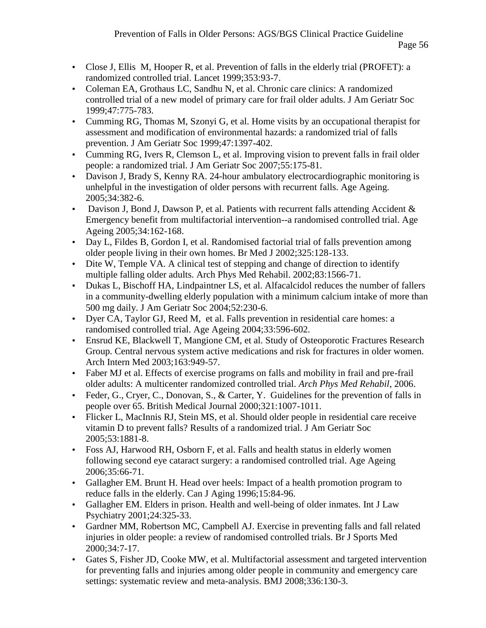- Close J, Ellis M, Hooper R, et al. Prevention of falls in the elderly trial (PROFET): a randomized controlled trial. Lancet 1999;353:93-7.
- Coleman EA, Grothaus LC, Sandhu N, et al. Chronic care clinics: A randomized controlled trial of a new model of primary care for frail older adults. J Am Geriatr Soc 1999;47:775-783.
- Cumming RG, Thomas M, Szonyi G, et al. Home visits by an occupational therapist for assessment and modification of environmental hazards: a randomized trial of falls prevention. J Am Geriatr Soc 1999;47:1397-402.
- Cumming RG, Ivers R, Clemson L, et al. Improving vision to prevent falls in frail older people: a randomized trial. J Am Geriatr Soc 2007;55:175-81.
- Davison J, Brady S, Kenny RA. 24-hour ambulatory electrocardiographic monitoring is unhelpful in the investigation of older persons with recurrent falls. Age Ageing. 2005;34:382-6.
- Davison J, Bond J, Dawson P, et al. Patients with recurrent falls attending Accident  $\&$ Emergency benefit from multifactorial intervention--a randomised controlled trial. Age Ageing 2005;34:162-168.
- Day L, Fildes B, Gordon I, et al. Randomised factorial trial of falls prevention among older people living in their own homes. Br Med J 2002;325:128-133.
- Dite W, Temple VA. A clinical test of stepping and change of direction to identify multiple falling older adults. Arch Phys Med Rehabil. 2002;83:1566-71.
- Dukas L, Bischoff HA, Lindpaintner LS, et al. Alfacalcidol reduces the number of fallers in a community-dwelling elderly population with a minimum calcium intake of more than 500 mg daily. J Am Geriatr Soc 2004;52:230-6.
- Dyer CA, Taylor GJ, Reed M, et al. Falls prevention in residential care homes: a randomised controlled trial. Age Ageing 2004;33:596-602.
- Ensrud KE, Blackwell T, Mangione CM, et al. Study of Osteoporotic Fractures Research Group. Central nervous system active medications and risk for fractures in older women. Arch Intern Med 2003;163:949-57.
- Faber MJ et al. Effects of exercise programs on falls and mobility in frail and pre-frail older adults: A multicenter randomized controlled trial. *Arch Phys Med Rehabil*, 2006.
- Feder, G., Cryer, C., Donovan, S., & Carter, Y. Guidelines for the prevention of falls in people over 65. British Medical Journal 2000;321:1007-1011.
- Flicker L, MacInnis RJ, Stein MS, et al. Should older people in residential care receive vitamin D to prevent falls? Results of a randomized trial. J Am Geriatr Soc 2005;53:1881-8.
- Foss AJ, Harwood RH, Osborn F, et al. Falls and health status in elderly women following second eye cataract surgery: a randomised controlled trial. Age Ageing 2006;35:66-71.
- Gallagher EM. Brunt H. Head over heels: Impact of a health promotion program to reduce falls in the elderly. Can J Aging 1996;15:84-96.
- Gallagher EM. Elders in prison. Health and well-being of older inmates. Int J Law Psychiatry 2001;24:325-33.
- Gardner MM, Robertson MC, Campbell AJ. Exercise in preventing falls and fall related injuries in older people: a review of randomised controlled trials. Br J Sports Med 2000;34:7-17.
- Gates S, Fisher JD, Cooke MW, et al. Multifactorial assessment and targeted intervention for preventing falls and injuries among older people in community and emergency care settings: systematic review and meta-analysis. BMJ 2008;336:130-3.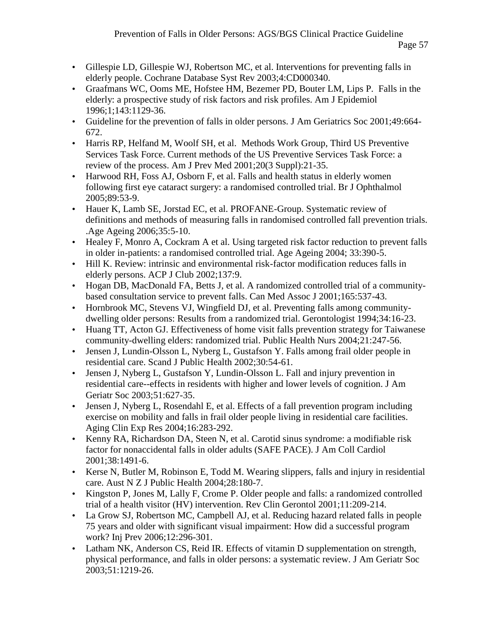- Gillespie LD, Gillespie WJ, Robertson MC, et al. Interventions for preventing falls in elderly people. Cochrane Database Syst Rev 2003;4:CD000340.
- Graafmans WC, Ooms ME, Hofstee HM, Bezemer PD, Bouter LM, Lips P. Falls in the elderly: a prospective study of risk factors and risk profiles. Am J Epidemiol 1996;1;143:1129-36.
- Guideline for the prevention of falls in older persons. J Am Geriatrics Soc 2001;49:664- 672.
- Harris RP, Helfand M, Woolf SH, et al. Methods Work Group, Third US Preventive Services Task Force. Current methods of the US Preventive Services Task Force: a review of the process. Am J Prev Med 2001;20(3 Suppl):21-35.
- Harwood RH, Foss AJ, Osborn F, et al. Falls and health status in elderly women following first eye cataract surgery: a randomised controlled trial. Br J Ophthalmol 2005;89:53-9.
- Hauer K, Lamb SE, Jorstad EC, et al. PROFANE-Group. Systematic review of definitions and methods of measuring falls in randomised controlled fall prevention trials. .Age Ageing 2006;35:5-10.
- Healey F, Monro A, Cockram A et al. Using targeted risk factor reduction to prevent falls in older in-patients: a randomised controlled trial. Age Ageing 2004; 33:390-5.
- Hill K. Review: intrinsic and environmental risk-factor modification reduces falls in elderly persons. ACP J Club 2002;137:9.
- Hogan DB, MacDonald FA, Betts J, et al. A randomized controlled trial of a community based consultation service to prevent falls. Can Med Assoc J 2001;165:537-43.
- Hornbrook MC, Stevens VJ, Wingfield DJ, et al. Preventing falls among community dwelling older persons: Results from a randomized trial. Gerontologist 1994;34:16-23.
- Huang TT, Acton GJ. Effectiveness of home visit falls prevention strategy for Taiwanese community-dwelling elders: randomized trial. Public Health Nurs 2004;21:247-56.
- Jensen J, Lundin-Olsson L, Nyberg L, Gustafson Y. Falls among frail older people in residential care. Scand J Public Health 2002;30:54-61.
- Jensen J, Nyberg L, Gustafson Y, Lundin-Olsson L. Fall and injury prevention in residential care--effects in residents with higher and lower levels of cognition. J Am Geriatr Soc 2003;51:627-35.
- Jensen J, Nyberg L, Rosendahl E, et al. Effects of a fall prevention program including exercise on mobility and falls in frail older people living in residential care facilities. Aging Clin Exp Res 2004;16:283-292.
- Kenny RA, Richardson DA, Steen N, et al. Carotid sinus syndrome: a modifiable risk factor for nonaccidental falls in older adults (SAFE PACE). J Am Coll Cardiol 2001;38:1491-6.
- Kerse N, Butler M, Robinson E, Todd M. Wearing slippers, falls and injury in residential care. Aust N Z J Public Health 2004;28:180-7.
- Kingston P, Jones M, Lally F, Crome P. Older people and falls: a randomized controlled trial of a health visitor (HV) intervention. Rev Clin Gerontol 2001;11:209-214.
- La Grow SJ, Robertson MC, Campbell AJ, et al. Reducing hazard related falls in people 75 years and older with significant visual impairment: How did a successful program work? Inj Prev 2006;12:296-301.
- Latham NK, Anderson CS, Reid IR. Effects of vitamin D supplementation on strength, physical performance, and falls in older persons: a systematic review. J Am Geriatr Soc 2003;51:1219-26.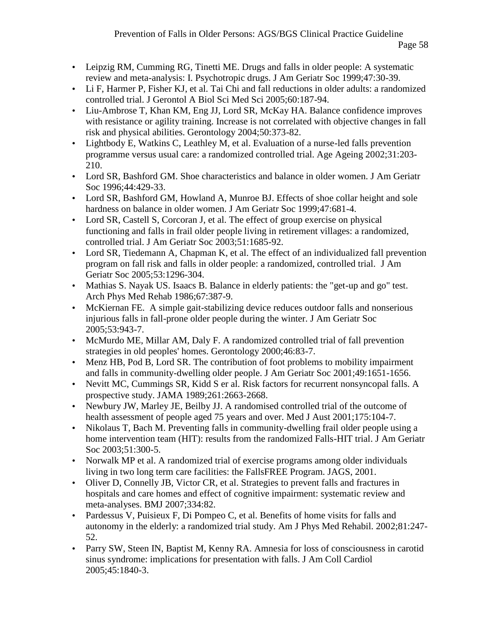- Leipzig RM, Cumming RG, Tinetti ME. Drugs and falls in older people: A systematic review and meta-analysis: I. Psychotropic drugs. J Am Geriatr Soc 1999;47:30-39.
- Li F, Harmer P, Fisher KJ, et al. Tai Chi and fall reductions in older adults: a randomized controlled trial. J Gerontol A Biol Sci Med Sci 2005;60:187-94.
- Liu-Ambrose T, Khan KM, Eng JJ, Lord SR, McKay HA. Balance confidence improves with resistance or agility training. Increase is not correlated with objective changes in fall risk and physical abilities. Gerontology 2004;50:373-82.
- Lightbody E, Watkins C, Leathley M, et al. Evaluation of a nurse-led falls prevention programme versus usual care: a randomized controlled trial. Age Ageing 2002;31:203- 210.
- Lord SR, Bashford GM. Shoe characteristics and balance in older women. J Am Geriatr Soc 1996;44:429-33.
- Lord SR, Bashford GM, Howland A, Munroe BJ. Effects of shoe collar height and sole hardness on balance in older women. J Am Geriatr Soc 1999;47:681-4.
- Lord SR, Castell S, Corcoran J, et al. The effect of group exercise on physical functioning and falls in frail older people living in retirement villages: a randomized, controlled trial. J Am Geriatr Soc 2003;51:1685-92.
- Lord SR, Tiedemann A, Chapman K, et al. The effect of an individualized fall prevention program on fall risk and falls in older people: a randomized, controlled trial. J Am Geriatr Soc 2005;53:1296-304.
- Mathias S. Nayak US. Isaacs B. Balance in elderly patients: the "get-up and go" test. Arch Phys Med Rehab 1986;67:387-9.
- McKiernan FE. A simple gait-stabilizing device reduces outdoor falls and nonserious injurious falls in fall-prone older people during the winter. J Am Geriatr Soc 2005;53:943-7.
- McMurdo ME, Millar AM, Daly F. A randomized controlled trial of fall prevention strategies in old peoples' homes. Gerontology 2000;46:83-7.
- Menz HB, Pod B, Lord SR. The contribution of foot problems to mobility impairment and falls in community-dwelling older people. J Am Geriatr Soc 2001;49:1651-1656.
- Nevitt MC, Cummings SR, Kidd S er al. Risk factors for recurrent nonsyncopal falls. A prospective study. JAMA 1989;261:2663-2668.
- Newbury JW, Marley JE, Beilby JJ. A randomised controlled trial of the outcome of health assessment of people aged 75 years and over. Med J Aust 2001;175:104-7.
- Nikolaus T, Bach M. Preventing falls in community-dwelling frail older people using a home intervention team (HIT): results from the randomized Falls-HIT trial. J Am Geriatr Soc 2003;51:300-5.
- Norwalk MP et al. A randomized trial of exercise programs among older individuals living in two long term care facilities: the FallsFREE Program. JAGS, 2001.
- Oliver D, Connelly JB, Victor CR, et al. Strategies to prevent falls and fractures in hospitals and care homes and effect of cognitive impairment: systematic review and meta-analyses. BMJ 2007;334:82.
- Pardessus V, Puisieux F, Di Pompeo C, et al. Benefits of home visits for falls and autonomy in the elderly: a randomized trial study. Am J Phys Med Rehabil. 2002;81:247- 52.
- Parry SW, Steen IN, Baptist M, Kenny RA. Amnesia for loss of consciousness in carotid sinus syndrome: implications for presentation with falls. J Am Coll Cardiol 2005;45:1840-3.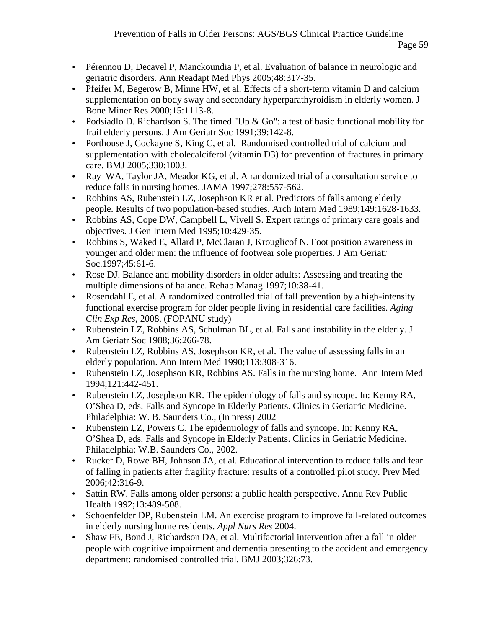- Pérennou D, Decavel P, Manckoundia P, et al. Evaluation of balance in neurologic and geriatric disorders. Ann Readapt Med Phys 2005;48:317-35.
- Pfeifer M, Begerow B, Minne HW, et al. Effects of a short-term vitamin D and calcium supplementation on body sway and secondary hyperparathyroidism in elderly women. J Bone Miner Res 2000;15:1113-8.
- Podsiadlo D. Richardson S. The timed "Up & Go": a test of basic functional mobility for frail elderly persons. J Am Geriatr Soc 1991;39:142-8.
- Porthouse J, Cockayne S, King C, et al. Randomised controlled trial of calcium and supplementation with cholecalciferol (vitamin D3) for prevention of fractures in primary care. BMJ 2005;330:1003.
- Ray WA, Taylor JA, Meador KG, et al. A randomized trial of a consultation service to reduce falls in nursing homes. JAMA 1997;278:557-562.
- Robbins AS, Rubenstein LZ, Josephson KR et al. Predictors of falls among elderly people. Results of two population-based studies. Arch Intern Med 1989;149:1628-1633.
- Robbins AS, Cope DW, Campbell L, Vivell S. Expert ratings of primary care goals and objectives. J Gen Intern Med 1995;10:429-35.
- Robbins S, Waked E, Allard P, McClaran J, Krouglicof N. Foot position awareness in younger and older men: the influence of footwear sole properties. J Am Geriatr Soc.1997;45:61-6.
- Rose DJ. Balance and mobility disorders in older adults: Assessing and treating the multiple dimensions of balance. Rehab Manag 1997;10:38-41.
- Rosendahl E, et al. A randomized controlled trial of fall prevention by a high-intensity functional exercise program for older people living in residential care facilities. *Aging Clin Exp Res*, 2008. (FOPANU study)
- Rubenstein LZ, Robbins AS, Schulman BL, et al. Falls and instability in the elderly. J Am Geriatr Soc 1988;36:266-78.
- Rubenstein LZ, Robbins AS, Josephson KR, et al. The value of assessing falls in an elderly population. Ann Intern Med 1990;113:308-316.
- Rubenstein LZ, Josephson KR, Robbins AS. Falls in the nursing home. Ann Intern Med 1994;121:442-451.
- Rubenstein LZ, Josephson KR. The epidemiology of falls and syncope. In: Kenny RA, O'Shea D, eds. Falls and Syncope in Elderly Patients. Clinics in Geriatric Medicine. Philadelphia: W. B. Saunders Co., (In press) 2002
- Rubenstein LZ, Powers C. The epidemiology of falls and syncope. In: Kenny RA, O'Shea D, eds. Falls and Syncope in Elderly Patients. Clinics in Geriatric Medicine. Philadelphia: W.B. Saunders Co., 2002.
- Rucker D, Rowe BH, Johnson JA, et al. Educational intervention to reduce falls and fear of falling in patients after fragility fracture: results of a controlled pilot study. Prev Med 2006;42:316-9.
- Sattin RW. Falls among older persons: a public health perspective. Annu Rev Public Health 1992;13:489-508.
- Schoenfelder DP, Rubenstein LM. An exercise program to improve fall-related outcomes in elderly nursing home residents. *Appl Nurs Res* 2004.
- Shaw FE, Bond J, Richardson DA, et al. Multifactorial intervention after a fall in older people with cognitive impairment and dementia presenting to the accident and emergency department: randomised controlled trial. BMJ 2003;326:73.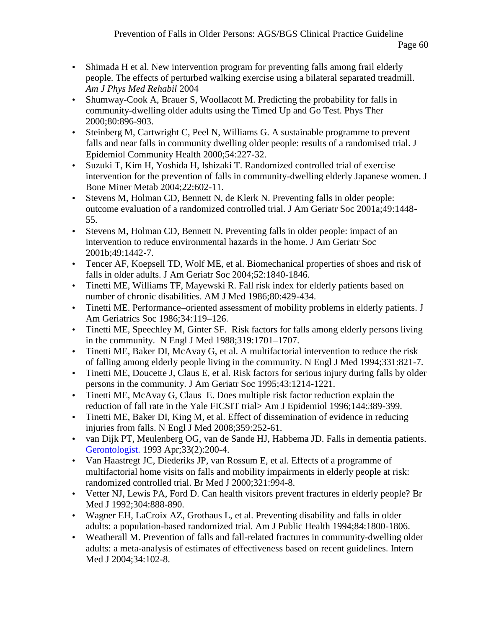- Shimada H et al. New intervention program for preventing falls among frail elderly people. The effects of perturbed walking exercise using a bilateral separated treadmill. *Am J Phys Med Rehabil* 2004
- Shumway-Cook A, Brauer S, Woollacott M. Predicting the probability for falls in community-dwelling older adults using the Timed Up and Go Test. Phys Ther 2000;80:896-903.
- Steinberg M, Cartwright C, Peel N, Williams G. A sustainable programme to prevent falls and near falls in community dwelling older people: results of a randomised trial. J Epidemiol Community Health 2000;54:227-32.
- Suzuki T, Kim H, Yoshida H, Ishizaki T. Randomized controlled trial of exercise intervention for the prevention of falls in community-dwelling elderly Japanese women. J Bone Miner Metab 2004;22:602-11.
- Stevens M, Holman CD, Bennett N, de Klerk N. Preventing falls in older people: outcome evaluation of a randomized controlled trial. J Am Geriatr Soc 2001a;49:1448- 55.
- Stevens M, Holman CD, Bennett N. Preventing falls in older people: impact of an intervention to reduce environmental hazards in the home. J Am Geriatr Soc 2001b;49:1442-7.
- Tencer AF, Koepsell TD, Wolf ME, et al. Biomechanical properties of shoes and risk of falls in older adults. J Am Geriatr Soc 2004;52:1840-1846.
- Tinetti ME, Williams TF, Mayewski R. Fall risk index for elderly patients based on number of chronic disabilities. AM J Med 1986;80:429-434.
- Tinetti ME. Performance–oriented assessment of mobility problems in elderly patients. J Am Geriatrics Soc 1986;34:119–126.
- Tinetti ME, Speechley M, Ginter SF. Risk factors for falls among elderly persons living in the community. N Engl J Med 1988;319:1701–1707.
- Tinetti ME, Baker DI, McAvay G, et al. A multifactorial intervention to reduce the risk of falling among elderly people living in the community. N Engl J Med 1994;331:821-7.
- Tinetti ME, Doucette J, Claus E, et al. Risk factors for serious injury during falls by older persons in the community. J Am Geriatr Soc 1995;43:1214-1221.
- Tinetti ME, McAvay G, Claus E. Does multiple risk factor reduction explain the reduction of fall rate in the Yale FICSIT trial> Am J Epidemiol 1996;144:389-399.
- Tinetti ME, Baker DI, King M, et al. Effect of dissemination of evidence in reducing injuries from falls. N Engl J Med 2008;359:252-61.
- van Dijk PT, Meulenberg OG, van de Sande HJ, Habbema JD. Falls in dementia patients. Gerontologist. 1993 Apr;33(2):200-4.
- Van Haastregt JC, Diederiks JP, van Rossum E, et al. Effects of a programme of multifactorial home visits on falls and mobility impairments in elderly people at risk: randomized controlled trial. Br Med J 2000;321:994-8.
- Vetter NJ, Lewis PA, Ford D. Can health visitors prevent fractures in elderly people? Br Med J 1992;304:888-890.
- Wagner EH, LaCroix AZ, Grothaus L, et al. Preventing disability and falls in older adults: a population-based randomized trial. Am J Public Health 1994;84:1800-1806.
- Weatherall M. Prevention of falls and fall-related fractures in community-dwelling older adults: a meta-analysis of estimates of effectiveness based on recent guidelines. Intern Med J 2004;34:102-8.